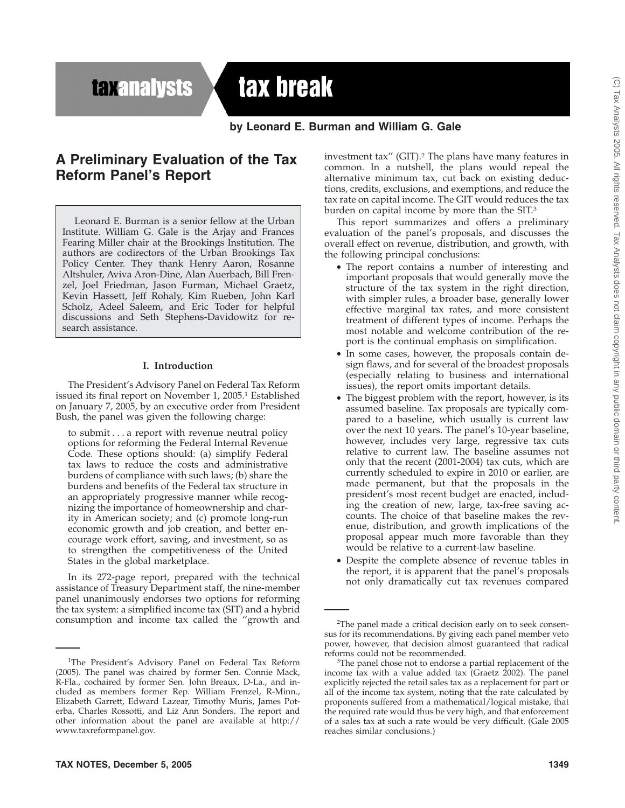**taxanalysts** 

# tax break

**by Leonard E. Burman and William G. Gale**

# **A Preliminary Evaluation of the Tax Reform Panel's Report**

Leonard E. Burman is a senior fellow at the Urban Institute. William G. Gale is the Arjay and Frances Fearing Miller chair at the Brookings Institution. The authors are codirectors of the Urban Brookings Tax Policy Center. They thank Henry Aaron, Rosanne Altshuler, Aviva Aron-Dine, Alan Auerbach, Bill Frenzel, Joel Friedman, Jason Furman, Michael Graetz, Kevin Hassett, Jeff Rohaly, Kim Rueben, John Karl Scholz, Adeel Saleem, and Eric Toder for helpful discussions and Seth Stephens-Davidowitz for research assistance.

#### **I. Introduction**

The President's Advisory Panel on Federal Tax Reform issued its final report on November 1, 2005.<sup>1</sup> Established on January 7, 2005, by an executive order from President Bush, the panel was given the following charge:

to submit...a report with revenue neutral policy options for reforming the Federal Internal Revenue Code. These options should: (a) simplify Federal tax laws to reduce the costs and administrative burdens of compliance with such laws; (b) share the burdens and benefits of the Federal tax structure in an appropriately progressive manner while recognizing the importance of homeownership and charity in American society; and (c) promote long-run economic growth and job creation, and better encourage work effort, saving, and investment, so as to strengthen the competitiveness of the United States in the global marketplace.

In its 272-page report, prepared with the technical assistance of Treasury Department staff, the nine-member panel unanimously endorses two options for reforming the tax system: a simplified income tax (SIT) and a hybrid consumption and income tax called the ''growth and investment tax'' (GIT).2 The plans have many features in common. In a nutshell, the plans would repeal the alternative minimum tax, cut back on existing deductions, credits, exclusions, and exemptions, and reduce the tax rate on capital income. The GIT would reduces the tax burden on capital income by more than the SIT.3

This report summarizes and offers a preliminary evaluation of the panel's proposals, and discusses the overall effect on revenue, distribution, and growth, with the following principal conclusions:

- The report contains a number of interesting and important proposals that would generally move the structure of the tax system in the right direction, with simpler rules, a broader base, generally lower effective marginal tax rates, and more consistent treatment of different types of income. Perhaps the most notable and welcome contribution of the report is the continual emphasis on simplification.
- In some cases, however, the proposals contain design flaws, and for several of the broadest proposals (especially relating to business and international issues), the report omits important details.
- The biggest problem with the report, however, is its assumed baseline. Tax proposals are typically compared to a baseline, which usually is current law over the next 10 years. The panel's 10-year baseline, however, includes very large, regressive tax cuts relative to current law. The baseline assumes not only that the recent (2001-2004) tax cuts, which are currently scheduled to expire in 2010 or earlier, are made permanent, but that the proposals in the president's most recent budget are enacted, including the creation of new, large, tax-free saving accounts. The choice of that baseline makes the revenue, distribution, and growth implications of the proposal appear much more favorable than they would be relative to a current-law baseline.
- Despite the complete absence of revenue tables in the report, it is apparent that the panel's proposals not only dramatically cut tax revenues compared

<sup>&</sup>lt;sup>1</sup>The President's Advisory Panel on Federal Tax Reform (2005). The panel was chaired by former Sen. Connie Mack, R-Fla., cochaired by former Sen. John Breaux, D-La., and included as members former Rep. William Frenzel, R-Minn., Elizabeth Garrett, Edward Lazear, Timothy Muris, James Poterba, Charles Rossotti, and Liz Ann Sonders. The report and other information about the panel are available at http:// www.taxreformpanel.gov.

<sup>&</sup>lt;sup>2</sup>The panel made a critical decision early on to seek consensus for its recommendations. By giving each panel member veto power, however, that decision almost guaranteed that radical reforms could not be recommended.

The panel chose not to endorse a partial replacement of the income tax with a value added tax (Graetz  $2002$ ). The panel explicitly rejected the retail sales tax as a replacement for part or all of the income tax system, noting that the rate calculated by proponents suffered from a mathematical/logical mistake, that the required rate would thus be very high, and that enforcement of a sales tax at such a rate would be very difficult. (Gale 2005 reaches similar conclusions.)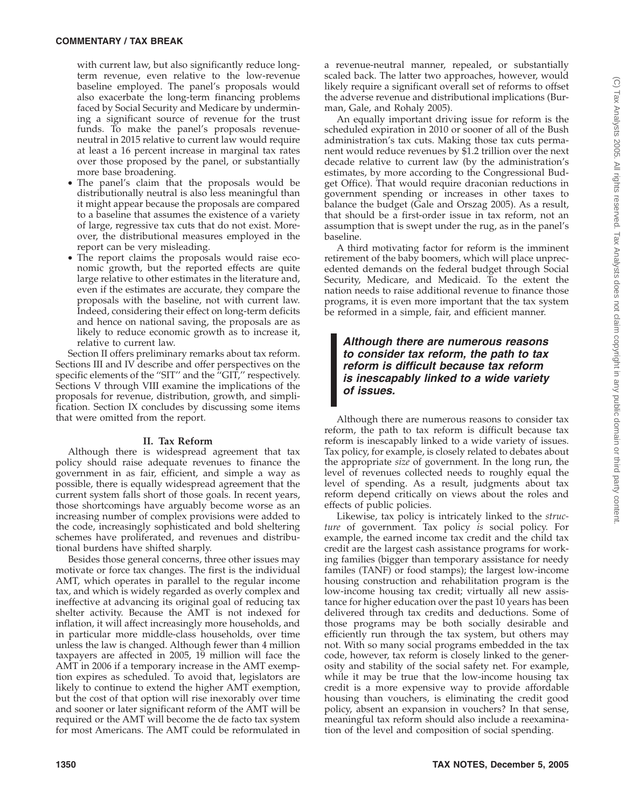with current law, but also significantly reduce longterm revenue, even relative to the low-revenue baseline employed. The panel's proposals would also exacerbate the long-term financing problems faced by Social Security and Medicare by undermining a significant source of revenue for the trust funds. To make the panel's proposals revenueneutral in 2015 relative to current law would require at least a 16 percent increase in marginal tax rates over those proposed by the panel, or substantially more base broadening.

- The panel's claim that the proposals would be distributionally neutral is also less meaningful than it might appear because the proposals are compared to a baseline that assumes the existence of a variety of large, regressive tax cuts that do not exist. Moreover, the distributional measures employed in the report can be very misleading.
- The report claims the proposals would raise economic growth, but the reported effects are quite large relative to other estimates in the literature and, even if the estimates are accurate, they compare the proposals with the baseline, not with current law. Indeed, considering their effect on long-term deficits and hence on national saving, the proposals are as likely to reduce economic growth as to increase it, relative to current law.

Section II offers preliminary remarks about tax reform. Sections III and IV describe and offer perspectives on the specific elements of the "SIT" and the "GIT," respectively. Sections V through VIII examine the implications of the proposals for revenue, distribution, growth, and simplification. Section IX concludes by discussing some items that were omitted from the report.

#### **II. Tax Reform**

Although there is widespread agreement that tax policy should raise adequate revenues to finance the government in as fair, efficient, and simple a way as possible, there is equally widespread agreement that the current system falls short of those goals. In recent years, those shortcomings have arguably become worse as an increasing number of complex provisions were added to the code, increasingly sophisticated and bold sheltering schemes have proliferated, and revenues and distributional burdens have shifted sharply.

Besides those general concerns, three other issues may motivate or force tax changes. The first is the individual AMT, which operates in parallel to the regular income tax, and which is widely regarded as overly complex and ineffective at advancing its original goal of reducing tax shelter activity. Because the AMT is not indexed for inflation, it will affect increasingly more households, and in particular more middle-class households, over time unless the law is changed. Although fewer than 4 million taxpayers are affected in 2005, 19 million will face the AMT in 2006 if a temporary increase in the AMT exemption expires as scheduled. To avoid that, legislators are likely to continue to extend the higher AMT exemption, but the cost of that option will rise inexorably over time and sooner or later significant reform of the AMT will be required or the AMT will become the de facto tax system for most Americans. The AMT could be reformulated in a revenue-neutral manner, repealed, or substantially scaled back. The latter two approaches, however, would likely require a significant overall set of reforms to offset the adverse revenue and distributional implications (Burman, Gale, and Rohaly 2005).

An equally important driving issue for reform is the scheduled expiration in 2010 or sooner of all of the Bush administration's tax cuts. Making those tax cuts permanent would reduce revenues by \$1.2 trillion over the next decade relative to current law (by the administration's estimates, by more according to the Congressional Budget Office). That would require draconian reductions in government spending or increases in other taxes to balance the budget (Gale and Orszag 2005). As a result, that should be a first-order issue in tax reform, not an assumption that is swept under the rug, as in the panel's baseline.

A third motivating factor for reform is the imminent retirement of the baby boomers, which will place unprecedented demands on the federal budget through Social Security, Medicare, and Medicaid. To the extent the nation needs to raise additional revenue to finance those programs, it is even more important that the tax system be reformed in a simple, fair, and efficient manner.

*Although there are numerous reasons to consider tax reform, the path to tax reform is difficult because tax reform is inescapably linked to a wide variety of issues.*

Although there are numerous reasons to consider tax reform, the path to tax reform is difficult because tax reform is inescapably linked to a wide variety of issues. Tax policy, for example, is closely related to debates about the appropriate *size* of government. In the long run, the level of revenues collected needs to roughly equal the level of spending. As a result, judgments about tax reform depend critically on views about the roles and effects of public policies.

Likewise, tax policy is intricately linked to the *structure* of government. Tax policy *is* social policy. For example, the earned income tax credit and the child tax credit are the largest cash assistance programs for working families (bigger than temporary assistance for needy familes (TANF) or food stamps); the largest low-income housing construction and rehabilitation program is the low-income housing tax credit; virtually all new assistance for higher education over the past 10 years has been delivered through tax credits and deductions. Some of those programs may be both socially desirable and efficiently run through the tax system, but others may not. With so many social programs embedded in the tax code, however, tax reform is closely linked to the generosity and stability of the social safety net. For example, while it may be true that the low-income housing tax credit is a more expensive way to provide affordable housing than vouchers, is eliminating the credit good policy, absent an expansion in vouchers? In that sense, meaningful tax reform should also include a reexamination of the level and composition of social spending.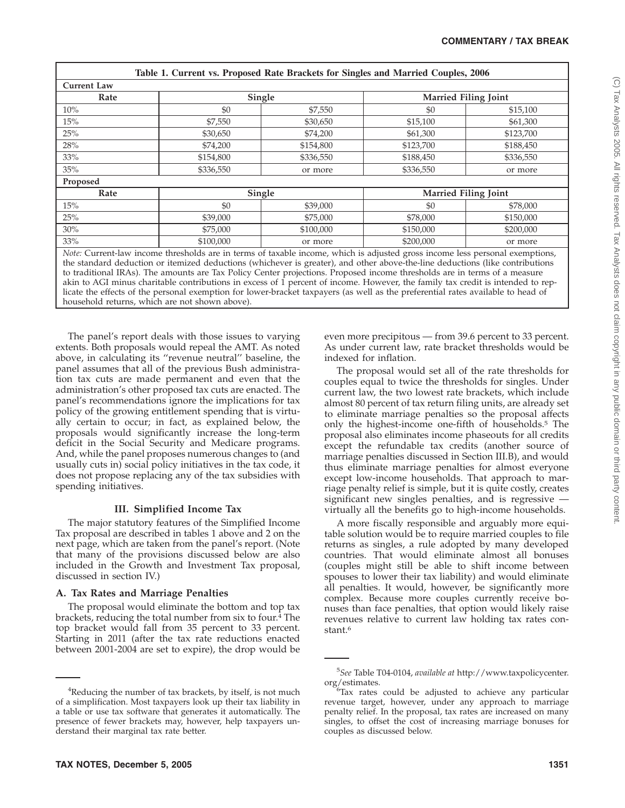|             |           | Table 1. Current vs. Proposed Rate Brackets for Singles and Married Couples, 2006                                                                                                                                                                            |                             |           |
|-------------|-----------|--------------------------------------------------------------------------------------------------------------------------------------------------------------------------------------------------------------------------------------------------------------|-----------------------------|-----------|
| Current Law |           |                                                                                                                                                                                                                                                              |                             |           |
| Rate        | Single    |                                                                                                                                                                                                                                                              | <b>Married Filing Joint</b> |           |
| 10%         | \$0       | \$7,550                                                                                                                                                                                                                                                      | \$0                         | \$15,100  |
| 15%         | \$7,550   | \$30,650                                                                                                                                                                                                                                                     | \$15,100                    | \$61,300  |
| 25%         | \$30,650  | \$74,200                                                                                                                                                                                                                                                     | \$61,300                    | \$123,700 |
| 28%         | \$74,200  | \$154,800                                                                                                                                                                                                                                                    | \$123,700                   | \$188,450 |
| 33%         | \$154,800 | \$336,550                                                                                                                                                                                                                                                    | \$188,450                   | \$336,550 |
| 35%         | \$336,550 | or more                                                                                                                                                                                                                                                      | \$336,550                   | or more   |
| Proposed    |           |                                                                                                                                                                                                                                                              |                             |           |
| Rate        | Single    |                                                                                                                                                                                                                                                              | <b>Married Filing Joint</b> |           |
| 15%         | \$0       | \$39,000                                                                                                                                                                                                                                                     | \$0                         | \$78,000  |
| 25%         | \$39,000  | \$75,000                                                                                                                                                                                                                                                     | \$78,000                    | \$150,000 |
| 30%         | \$75,000  | \$100,000                                                                                                                                                                                                                                                    | \$150,000                   | \$200,000 |
| 33%         | \$100,000 | or more                                                                                                                                                                                                                                                      | \$200,000                   | or more   |
|             |           | Note: Current-law income thresholds are in terms of taxable income, which is adjusted gross income less personal exemptions,<br>the standard deduction or itemized deductions (whichever is greater) and other above-the-line deductions (like contributions |                             |           |

 $\nu$ nichever is greater), and other above to traditional IRAs). The amounts are Tax Policy Center projections. Proposed income thresholds are in terms of a measure akin to AGI minus charitable contributions in excess of 1 percent of income. However, the family tax credit is intended to replicate the effects of the personal exemption for lower-bracket taxpayers (as well as the preferential rates available to head of household returns, which are not shown above).

The panel's report deals with those issues to varying extents. Both proposals would repeal the AMT. As noted above, in calculating its ''revenue neutral'' baseline, the panel assumes that all of the previous Bush administration tax cuts are made permanent and even that the administration's other proposed tax cuts are enacted. The panel's recommendations ignore the implications for tax policy of the growing entitlement spending that is virtually certain to occur; in fact, as explained below, the proposals would significantly increase the long-term deficit in the Social Security and Medicare programs. And, while the panel proposes numerous changes to (and usually cuts in) social policy initiatives in the tax code, it does not propose replacing any of the tax subsidies with spending initiatives.

## **III. Simplified Income Tax**

The major statutory features of the Simplified Income Tax proposal are described in tables 1 above and 2 on the next page, which are taken from the panel's report. (Note that many of the provisions discussed below are also included in the Growth and Investment Tax proposal, discussed in section IV.)

## **A. Tax Rates and Marriage Penalties**

The proposal would eliminate the bottom and top tax brackets, reducing the total number from six to four.<sup>4</sup> The top bracket would fall from 35 percent to 33 percent. Starting in 2011 (after the tax rate reductions enacted between 2001-2004 are set to expire), the drop would be even more precipitous — from 39.6 percent to 33 percent. As under current law, rate bracket thresholds would be indexed for inflation.

The proposal would set all of the rate thresholds for couples equal to twice the thresholds for singles. Under current law, the two lowest rate brackets, which include almost 80 percent of tax return filing units, are already set to eliminate marriage penalties so the proposal affects only the highest-income one-fifth of households.5 The proposal also eliminates income phaseouts for all credits except the refundable tax credits (another source of marriage penalties discussed in Section III.B), and would thus eliminate marriage penalties for almost everyone except low-income households. That approach to marriage penalty relief is simple, but it is quite costly, creates significant new singles penalties, and is regressive virtually all the benefits go to high-income households.

A more fiscally responsible and arguably more equitable solution would be to require married couples to file returns as singles, a rule adopted by many developed countries. That would eliminate almost all bonuses (couples might still be able to shift income between spouses to lower their tax liability) and would eliminate all penalties. It would, however, be significantly more complex. Because more couples currently receive bonuses than face penalties, that option would likely raise revenues relative to current law holding tax rates constant.6

<sup>&</sup>lt;sup>4</sup>Reducing the number of tax brackets, by itself, is not much of a simplification. Most taxpayers look up their tax liability in a table or use tax software that generates it automatically. The presence of fewer brackets may, however, help taxpayers understand their marginal tax rate better.

<sup>5</sup> *See* Table T04-0104, *available at* http://www.taxpolicycenter. org/estimates. <sup>6</sup>

 $6$ Tax rates could be adjusted to achieve any particular revenue target, however, under any approach to marriage penalty relief. In the proposal, tax rates are increased on many singles, to offset the cost of increasing marriage bonuses for couples as discussed below.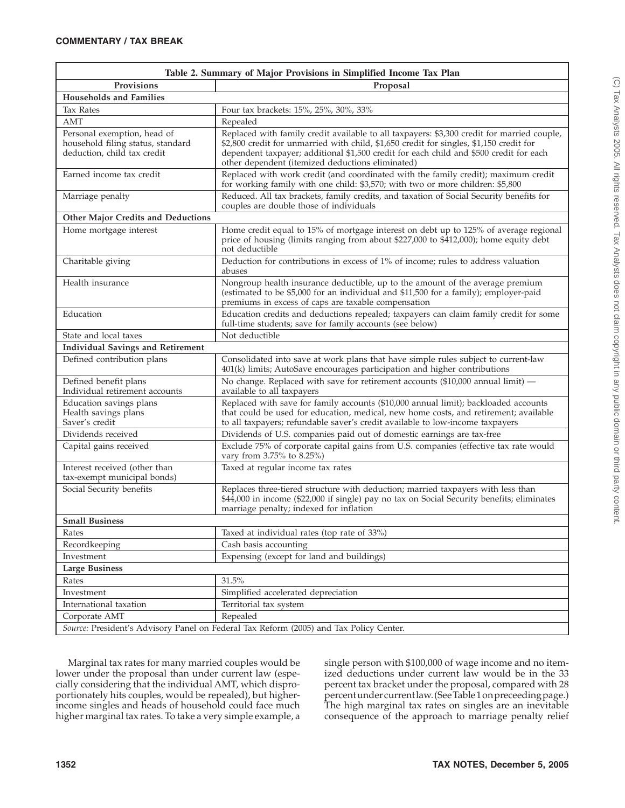| Table 2. Summary of Major Provisions in Simplified Income Tax Plan                              |                                                                                                                                                                                                                                                                                                                                     |  |  |  |  |  |
|-------------------------------------------------------------------------------------------------|-------------------------------------------------------------------------------------------------------------------------------------------------------------------------------------------------------------------------------------------------------------------------------------------------------------------------------------|--|--|--|--|--|
| Provisions                                                                                      | Proposal                                                                                                                                                                                                                                                                                                                            |  |  |  |  |  |
| <b>Households and Families</b>                                                                  |                                                                                                                                                                                                                                                                                                                                     |  |  |  |  |  |
| <b>Tax Rates</b>                                                                                | Four tax brackets: 15%, 25%, 30%, 33%                                                                                                                                                                                                                                                                                               |  |  |  |  |  |
| AMT                                                                                             | Repealed                                                                                                                                                                                                                                                                                                                            |  |  |  |  |  |
| Personal exemption, head of<br>household filing status, standard<br>deduction, child tax credit | Replaced with family credit available to all taxpayers: \$3,300 credit for married couple,<br>\$2,800 credit for unmarried with child, \$1,650 credit for singles, \$1,150 credit for<br>dependent taxpayer; additional \$1,500 credit for each child and \$500 credit for each<br>other dependent (itemized deductions eliminated) |  |  |  |  |  |
| Earned income tax credit                                                                        | Replaced with work credit (and coordinated with the family credit); maximum credit<br>for working family with one child: \$3,570; with two or more children: \$5,800                                                                                                                                                                |  |  |  |  |  |
| Marriage penalty                                                                                | Reduced. All tax brackets, family credits, and taxation of Social Security benefits for<br>couples are double those of individuals                                                                                                                                                                                                  |  |  |  |  |  |
| Other Major Credits and Deductions                                                              |                                                                                                                                                                                                                                                                                                                                     |  |  |  |  |  |
| Home mortgage interest                                                                          | Home credit equal to 15% of mortgage interest on debt up to 125% of average regional<br>price of housing (limits ranging from about \$227,000 to \$412,000); home equity debt<br>not deductible                                                                                                                                     |  |  |  |  |  |
| Charitable giving                                                                               | Deduction for contributions in excess of 1% of income; rules to address valuation<br>abuses                                                                                                                                                                                                                                         |  |  |  |  |  |
| Health insurance                                                                                | Nongroup health insurance deductible, up to the amount of the average premium<br>(estimated to be \$5,000 for an individual and \$11,500 for a family); employer-paid<br>premiums in excess of caps are taxable compensation                                                                                                        |  |  |  |  |  |
| Education                                                                                       | Education credits and deductions repealed; taxpayers can claim family credit for some<br>full-time students; save for family accounts (see below)                                                                                                                                                                                   |  |  |  |  |  |
| State and local taxes                                                                           | Not deductible                                                                                                                                                                                                                                                                                                                      |  |  |  |  |  |
| <b>Individual Savings and Retirement</b>                                                        |                                                                                                                                                                                                                                                                                                                                     |  |  |  |  |  |
| Defined contribution plans                                                                      | Consolidated into save at work plans that have simple rules subject to current-law<br>401(k) limits; AutoSave encourages participation and higher contributions                                                                                                                                                                     |  |  |  |  |  |
| Defined benefit plans<br>Individual retirement accounts                                         | No change. Replaced with save for retirement accounts (\$10,000 annual limit) -<br>available to all taxpayers                                                                                                                                                                                                                       |  |  |  |  |  |
| Education savings plans<br>Health savings plans<br>Saver's credit                               | Replaced with save for family accounts (\$10,000 annual limit); backloaded accounts<br>that could be used for education, medical, new home costs, and retirement; available<br>to all taxpayers; refundable saver's credit available to low-income taxpayers                                                                        |  |  |  |  |  |
| Dividends received                                                                              | Dividends of U.S. companies paid out of domestic earnings are tax-free                                                                                                                                                                                                                                                              |  |  |  |  |  |
| Capital gains received                                                                          | Exclude 75% of corporate capital gains from U.S. companies (effective tax rate would<br>vary from 3.75% to 8.25%)                                                                                                                                                                                                                   |  |  |  |  |  |
| Interest received (other than<br>tax-exempt municipal bonds)                                    | Taxed at regular income tax rates                                                                                                                                                                                                                                                                                                   |  |  |  |  |  |
| Social Security benefits                                                                        | Replaces three-tiered structure with deduction; married taxpayers with less than<br>\$44,000 in income (\$22,000 if single) pay no tax on Social Security benefits; eliminates<br>marriage penalty; indexed for inflation                                                                                                           |  |  |  |  |  |
| <b>Small Business</b>                                                                           |                                                                                                                                                                                                                                                                                                                                     |  |  |  |  |  |
| Rates                                                                                           | Taxed at individual rates (top rate of 33%)                                                                                                                                                                                                                                                                                         |  |  |  |  |  |
| Recordkeeping                                                                                   | Cash basis accounting                                                                                                                                                                                                                                                                                                               |  |  |  |  |  |
| Investment                                                                                      | Expensing (except for land and buildings)                                                                                                                                                                                                                                                                                           |  |  |  |  |  |
| <b>Large Business</b>                                                                           |                                                                                                                                                                                                                                                                                                                                     |  |  |  |  |  |
| Rates                                                                                           | 31.5%                                                                                                                                                                                                                                                                                                                               |  |  |  |  |  |
| Investment                                                                                      | Simplified accelerated depreciation                                                                                                                                                                                                                                                                                                 |  |  |  |  |  |
| International taxation                                                                          | Territorial tax system                                                                                                                                                                                                                                                                                                              |  |  |  |  |  |
| Corporate AMT                                                                                   | Repealed                                                                                                                                                                                                                                                                                                                            |  |  |  |  |  |
| Source: President's Advisory Panel on Federal Tax Reform (2005) and Tax Policy Center.          |                                                                                                                                                                                                                                                                                                                                     |  |  |  |  |  |

Marginal tax rates for many married couples would be lower under the proposal than under current law (especially considering that the individual AMT, which disproportionately hits couples, would be repealed), but higherincome singles and heads of household could face much higher marginal tax rates. To take a very simple example, a

single person with \$100,000 of wage income and no itemized deductions under current law would be in the 33 percent tax bracket under the proposal, compared with 28 percentundercurrentlaw. (SeeTable 1onpreceedingpage.) The high marginal tax rates on singles are an inevitable consequence of the approach to marriage penalty relief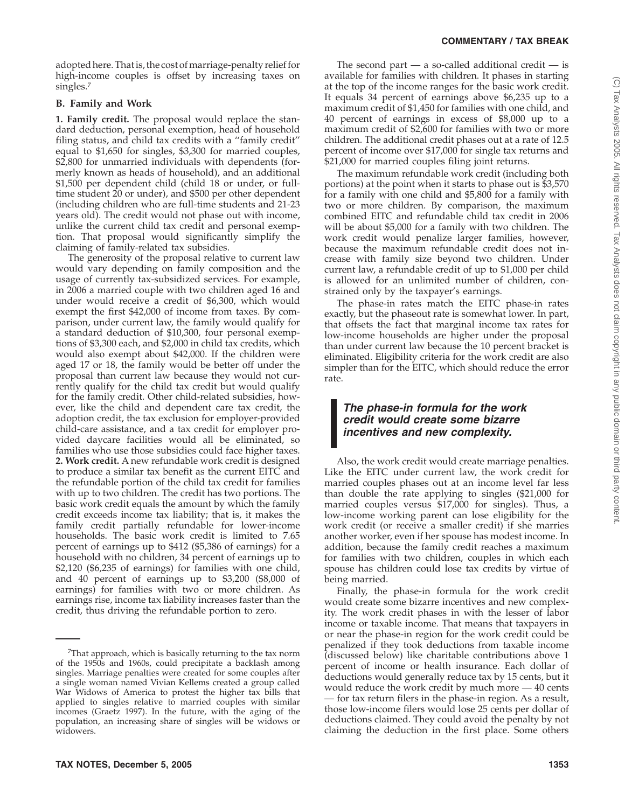#### **COMMENTARY / TAX BREAK**

adopted here. That is, the cost of marriage-penalty relief for high-income couples is offset by increasing taxes on singles.7

#### **B. Family and Work**

**1. Family credit.** The proposal would replace the standard deduction, personal exemption, head of household filing status, and child tax credits with a "family credit" equal to \$1,650 for singles, \$3,300 for married couples, \$2,800 for unmarried individuals with dependents (formerly known as heads of household), and an additional \$1,500 per dependent child (child 18 or under, or fulltime student 20 or under), and \$500 per other dependent (including children who are full-time students and 21-23 years old). The credit would not phase out with income, unlike the current child tax credit and personal exemption. That proposal would significantly simplify the claiming of family-related tax subsidies.

The generosity of the proposal relative to current law would vary depending on family composition and the usage of currently tax-subsidized services. For example, in 2006 a married couple with two children aged 16 and under would receive a credit of \$6,300, which would exempt the first \$42,000 of income from taxes. By comparison, under current law, the family would qualify for a standard deduction of \$10,300, four personal exemptions of \$3,300 each, and \$2,000 in child tax credits, which would also exempt about \$42,000. If the children were aged 17 or 18, the family would be better off under the proposal than current law because they would not currently qualify for the child tax credit but would qualify for the family credit. Other child-related subsidies, however, like the child and dependent care tax credit, the adoption credit, the tax exclusion for employer-provided child-care assistance, and a tax credit for employer provided daycare facilities would all be eliminated, so families who use those subsidies could face higher taxes. **2. Work credit.** A new refundable work credit is designed to produce a similar tax benefit as the current EITC and the refundable portion of the child tax credit for families with up to two children. The credit has two portions. The basic work credit equals the amount by which the family credit exceeds income tax liability; that is, it makes the family credit partially refundable for lower-income households. The basic work credit is limited to 7.65 percent of earnings up to \$412 (\$5,386 of earnings) for a household with no children, 34 percent of earnings up to \$2,120 (\$6,235 of earnings) for families with one child, and 40 percent of earnings up to \$3,200 (\$8,000 of earnings) for families with two or more children. As earnings rise, income tax liability increases faster than the credit, thus driving the refundable portion to zero.

The second part  $-$  a so-called additional credit  $-$  is available for families with children. It phases in starting at the top of the income ranges for the basic work credit. It equals 34 percent of earnings above \$6,235 up to a maximum credit of \$1,450 for families with one child, and 40 percent of earnings in excess of \$8,000 up to a maximum credit of \$2,600 for families with two or more children. The additional credit phases out at a rate of 12.5 percent of income over \$17,000 for single tax returns and \$21,000 for married couples filing joint returns.

The maximum refundable work credit (including both portions) at the point when it starts to phase out is \$3,570 for a family with one child and \$5,800 for a family with two or more children. By comparison, the maximum combined EITC and refundable child tax credit in 2006 will be about \$5,000 for a family with two children. The work credit would penalize larger families, however, because the maximum refundable credit does not increase with family size beyond two children. Under current law, a refundable credit of up to \$1,000 per child is allowed for an unlimited number of children, constrained only by the taxpayer's earnings.

The phase-in rates match the EITC phase-in rates exactly, but the phaseout rate is somewhat lower. In part, that offsets the fact that marginal income tax rates for low-income households are higher under the proposal than under current law because the 10 percent bracket is eliminated. Eligibility criteria for the work credit are also simpler than for the EITC, which should reduce the error rate.

# *The phase-in formula for the work credit would create some bizarre incentives and new complexity.*

Also, the work credit would create marriage penalties. Like the EITC under current law, the work credit for married couples phases out at an income level far less than double the rate applying to singles (\$21,000 for married couples versus \$17,000 for singles). Thus, a low-income working parent can lose eligibility for the work credit (or receive a smaller credit) if she marries another worker, even if her spouse has modest income. In addition, because the family credit reaches a maximum for families with two children, couples in which each spouse has children could lose tax credits by virtue of being married.

Finally, the phase-in formula for the work credit would create some bizarre incentives and new complexity. The work credit phases in with the lesser of labor income or taxable income. That means that taxpayers in or near the phase-in region for the work credit could be penalized if they took deductions from taxable income (discussed below) like charitable contributions above 1 percent of income or health insurance. Each dollar of deductions would generally reduce tax by 15 cents, but it would reduce the work credit by much more — 40 cents — for tax return filers in the phase-in region. As a result, those low-income filers would lose 25 cents per dollar of deductions claimed. They could avoid the penalty by not claiming the deduction in the first place. Some others

<sup>&</sup>lt;sup>7</sup>That approach, which is basically returning to the tax norm of the 1950s and 1960s, could precipitate a backlash among singles. Marriage penalties were created for some couples after a single woman named Vivian Kellems created a group called War Widows of America to protest the higher tax bills that applied to singles relative to married couples with similar incomes (Graetz 1997). In the future, with the aging of the population, an increasing share of singles will be widows or widowers.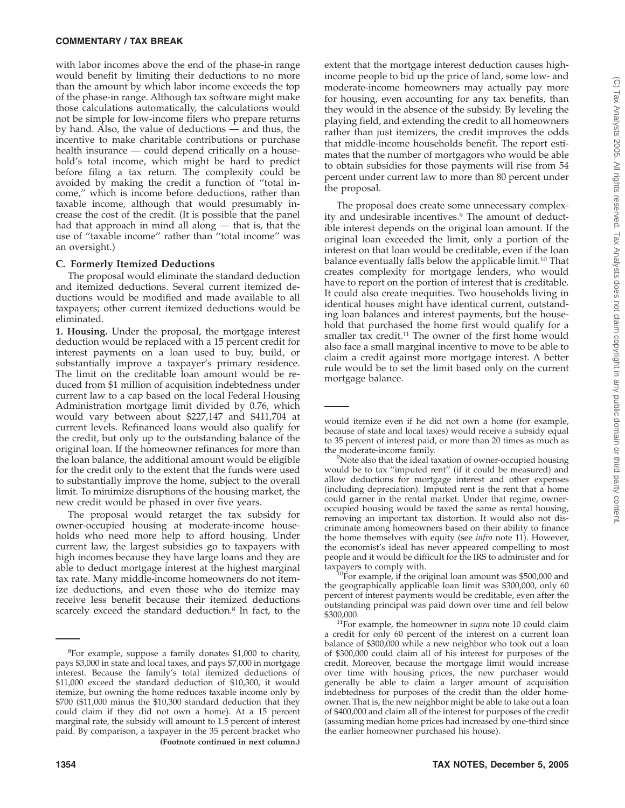with labor incomes above the end of the phase-in range would benefit by limiting their deductions to no more than the amount by which labor income exceeds the top of the phase-in range. Although tax software might make those calculations automatically, the calculations would not be simple for low-income filers who prepare returns by hand. Also, the value of deductions — and thus, the incentive to make charitable contributions or purchase health insurance — could depend critically on a household's total income, which might be hard to predict before filing a tax return. The complexity could be avoided by making the credit a function of ''total income,'' which is income before deductions, rather than taxable income, although that would presumably increase the cost of the credit. (It is possible that the panel had that approach in mind all along — that is, that the use of ''taxable income'' rather than ''total income'' was an oversight.)

## **C. Formerly Itemized Deductions**

The proposal would eliminate the standard deduction and itemized deductions. Several current itemized deductions would be modified and made available to all taxpayers; other current itemized deductions would be eliminated.

**1. Housing.** Under the proposal, the mortgage interest deduction would be replaced with a 15 percent credit for interest payments on a loan used to buy, build, or substantially improve a taxpayer's primary residence. The limit on the creditable loan amount would be reduced from \$1 million of acquisition indebtedness under current law to a cap based on the local Federal Housing Administration mortgage limit divided by 0.76, which would vary between about \$227,147 and \$411,704 at current levels. Refinanced loans would also qualify for the credit, but only up to the outstanding balance of the original loan. If the homeowner refinances for more than the loan balance, the additional amount would be eligible for the credit only to the extent that the funds were used to substantially improve the home, subject to the overall limit. To minimize disruptions of the housing market, the new credit would be phased in over five years.

The proposal would retarget the tax subsidy for owner-occupied housing at moderate-income households who need more help to afford housing. Under current law, the largest subsidies go to taxpayers with high incomes because they have large loans and they are able to deduct mortgage interest at the highest marginal tax rate. Many middle-income homeowners do not itemize deductions, and even those who do itemize may receive less benefit because their itemized deductions scarcely exceed the standard deduction.<sup>8</sup> In fact, to the

extent that the mortgage interest deduction causes highincome people to bid up the price of land, some low- and moderate-income homeowners may actually pay more for housing, even accounting for any tax benefits, than they would in the absence of the subsidy. By leveling the playing field, and extending the credit to all homeowners rather than just itemizers, the credit improves the odds that middle-income households benefit. The report estimates that the number of mortgagors who would be able to obtain subsidies for those payments will rise from 54 percent under current law to more than 80 percent under the proposal.

The proposal does create some unnecessary complexity and undesirable incentives.<sup>9</sup> The amount of deductible interest depends on the original loan amount. If the original loan exceeded the limit, only a portion of the interest on that loan would be creditable, even if the loan balance eventually falls below the applicable limit.10 That creates complexity for mortgage lenders, who would have to report on the portion of interest that is creditable. It could also create inequities. Two households living in identical houses might have identical current, outstanding loan balances and interest payments, but the household that purchased the home first would qualify for a smaller tax credit.11 The owner of the first home would also face a small marginal incentive to move to be able to claim a credit against more mortgage interest. A better rule would be to set the limit based only on the current mortgage balance.

taxpayers to comply with.<br><sup>10</sup>For example, if the original loan amount was \$500,000 and the geographically applicable loan limit was \$300,000, only 60 percent of interest payments would be creditable, even after the outstanding principal was paid down over time and fell below

<sup>&</sup>lt;sup>8</sup>For example, suppose a family donates \$1,000 to charity, pays \$3,000 in state and local taxes, and pays \$7,000 in mortgage interest. Because the family's total itemized deductions of \$11,000 exceed the standard deduction of \$10,300, it would itemize, but owning the home reduces taxable income only by \$700 (\$11,000 minus the \$10,300 standard deduction that they could claim if they did not own a home). At a 15 percent marginal rate, the subsidy will amount to 1.5 percent of interest paid. By comparison, a taxpayer in the 35 percent bracket who **(Footnote continued in next column.)**

would itemize even if he did not own a home (for example, because of state and local taxes) would receive a subsidy equal to 35 percent of interest paid, or more than 20 times as much as the moderate-income family.

<sup>&</sup>lt;sup>9</sup>Note also that the ideal taxation of owner-occupied housing would be to tax ''imputed rent'' (if it could be measured) and allow deductions for mortgage interest and other expenses (including depreciation). Imputed rent is the rent that a home could garner in the rental market. Under that regime, owneroccupied housing would be taxed the same as rental housing, removing an important tax distortion. It would also not discriminate among homeowners based on their ability to finance the home themselves with equity (see *infra* note 11). However, the economist's ideal has never appeared compelling to most people and it would be difficult for the IRS to administer and for

<sup>\$300,000.</sup> 11For example, the homeowner in *supra* note 10 could claim a credit for only 60 percent of the interest on a current loan balance of \$300,000 while a new neighbor who took out a loan of \$300,000 could claim all of his interest for purposes of the credit. Moreover, because the mortgage limit would increase over time with housing prices, the new purchaser would generally be able to claim a larger amount of acquisition indebtedness for purposes of the credit than the older homeowner. That is, the new neighbor might be able to take out a loan of \$400,000 and claim all of the interest for purposes of the credit (assuming median home prices had increased by one-third since the earlier homeowner purchased his house).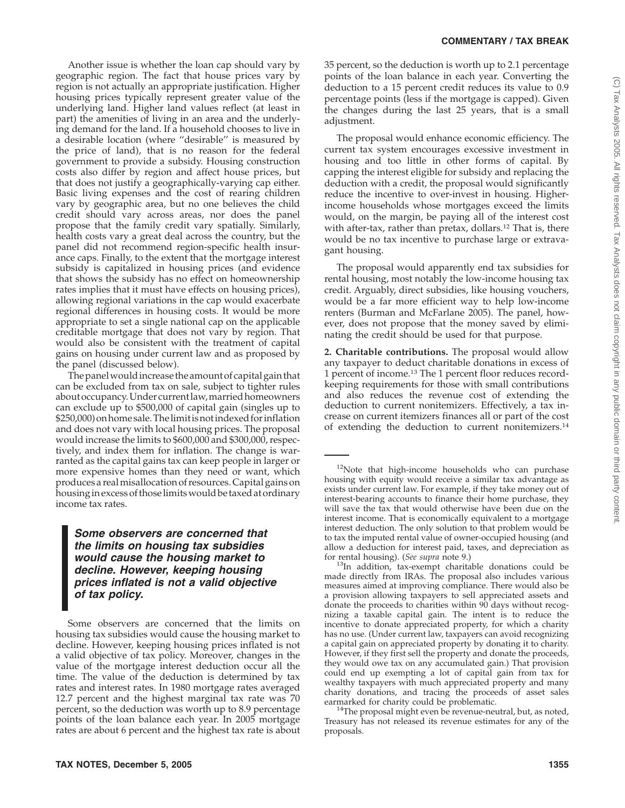Another issue is whether the loan cap should vary by geographic region. The fact that house prices vary by region is not actually an appropriate justification. Higher housing prices typically represent greater value of the underlying land. Higher land values reflect (at least in part) the amenities of living in an area and the underlying demand for the land. If a household chooses to live in a desirable location (where ''desirable'' is measured by the price of land), that is no reason for the federal government to provide a subsidy. Housing construction costs also differ by region and affect house prices, but that does not justify a geographically-varying cap either. Basic living expenses and the cost of rearing children vary by geographic area, but no one believes the child credit should vary across areas, nor does the panel propose that the family credit vary spatially. Similarly, health costs vary a great deal across the country, but the panel did not recommend region-specific health insurance caps. Finally, to the extent that the mortgage interest subsidy is capitalized in housing prices (and evidence that shows the subsidy has no effect on homeownership rates implies that it must have effects on housing prices), allowing regional variations in the cap would exacerbate regional differences in housing costs. It would be more appropriate to set a single national cap on the applicable creditable mortgage that does not vary by region. That would also be consistent with the treatment of capital gains on housing under current law and as proposed by the panel (discussed below).

The panelwouldincrease the amount of capital gain that can be excluded from tax on sale, subject to tighter rules about occupancy.Under currentlaw,married homeowners can exclude up to \$500,000 of capital gain (singles up to \$250,000) onhome sale.Thelimitisnotindexed forinflation and does not vary with local housing prices. The proposal would increase the limits to \$600,000 and \$300,000, respectively, and index them for inflation. The change is warranted as the capital gains tax can keep people in larger or more expensive homes than they need or want, which produces a realmisallocation of resources. Capital gains on housingin excess of thoselimitswould be taxed at ordinary income tax rates.

## *Some observers are concerned that the limits on housing tax subsidies would cause the housing market to decline. However, keeping housing prices inflated is not a valid objective of tax policy.*

35 percent, so the deduction is worth up to 2.1 percentage points of the loan balance in each year. Converting the deduction to a 15 percent credit reduces its value to 0.9 percentage points (less if the mortgage is capped). Given the changes during the last 25 years, that is a small adjustment.

The proposal would enhance economic efficiency. The current tax system encourages excessive investment in housing and too little in other forms of capital. By capping the interest eligible for subsidy and replacing the deduction with a credit, the proposal would significantly reduce the incentive to over-invest in housing. Higherincome households whose mortgages exceed the limits would, on the margin, be paying all of the interest cost with after-tax, rather than pretax, dollars.<sup>12</sup> That is, there would be no tax incentive to purchase large or extravagant housing.

The proposal would apparently end tax subsidies for rental housing, most notably the low-income housing tax credit. Arguably, direct subsidies, like housing vouchers, would be a far more efficient way to help low-income renters (Burman and McFarlane 2005). The panel, however, does not propose that the money saved by eliminating the credit should be used for that purpose.

**2. Charitable contributions.** The proposal would allow any taxpayer to deduct charitable donations in excess of 1 percent of income.13 The 1 percent floor reduces recordkeeping requirements for those with small contributions and also reduces the revenue cost of extending the deduction to current nonitemizers. Effectively, a tax increase on current itemizers finances all or part of the cost of extending the deduction to current nonitemizers.14

earmarked for charity could be problematic.<br><sup>14</sup>The proposal might even be revenue-neutral, but, as noted, Treasury has not released its revenue estimates for any of the proposals.

Some observers are concerned that the limits on housing tax subsidies would cause the housing market to decline. However, keeping housing prices inflated is not a valid objective of tax policy. Moreover, changes in the value of the mortgage interest deduction occur all the time. The value of the deduction is determined by tax rates and interest rates. In 1980 mortgage rates averaged 12.7 percent and the highest marginal tax rate was 70 percent, so the deduction was worth up to 8.9 percentage points of the loan balance each year. In 2005 mortgage rates are about 6 percent and the highest tax rate is about

<sup>&</sup>lt;sup>12</sup>Note that high-income households who can purchase housing with equity would receive a similar tax advantage as exists under current law. For example, if they take money out of interest-bearing accounts to finance their home purchase, they will save the tax that would otherwise have been due on the interest income. That is economically equivalent to a mortgage interest deduction. The only solution to that problem would be to tax the imputed rental value of owner-occupied housing (and allow a deduction for interest paid, taxes, and depreciation as for rental housing). (*See supra* note 9.)

<sup>&</sup>lt;sup>13</sup>In addition, tax-exempt charitable donations could be made directly from IRAs. The proposal also includes various measures aimed at improving compliance. There would also be a provision allowing taxpayers to sell appreciated assets and donate the proceeds to charities within 90 days without recognizing a taxable capital gain. The intent is to reduce the incentive to donate appreciated property, for which a charity has no use. (Under current law, taxpayers can avoid recognizing a capital gain on appreciated property by donating it to charity. However, if they first sell the property and donate the proceeds, they would owe tax on any accumulated gain.) That provision could end up exempting a lot of capital gain from tax for wealthy taxpayers with much appreciated property and many charity donations, and tracing the proceeds of asset sales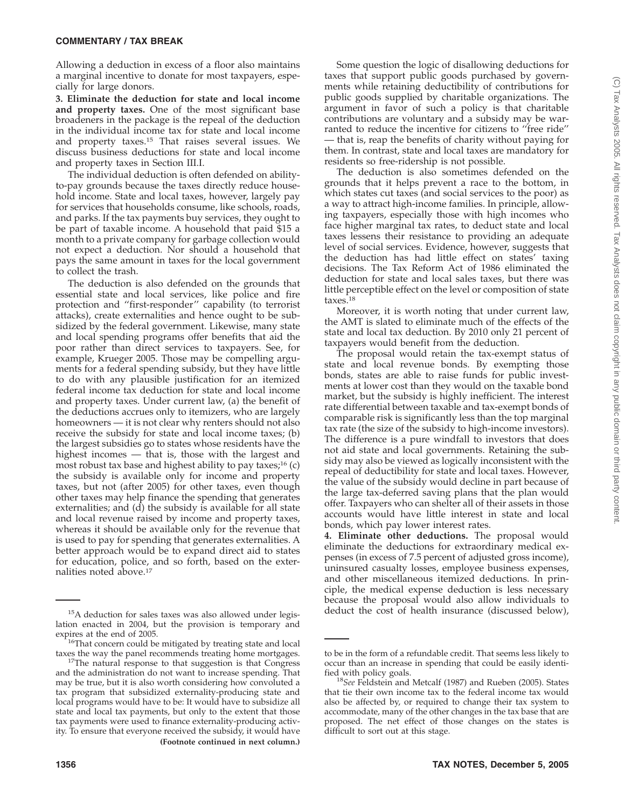Allowing a deduction in excess of a floor also maintains a marginal incentive to donate for most taxpayers, especially for large donors.

**3. Eliminate the deduction for state and local income and property taxes.** One of the most significant base broadeners in the package is the repeal of the deduction in the individual income tax for state and local income and property taxes.15 That raises several issues. We discuss business deductions for state and local income and property taxes in Section III.I.

The individual deduction is often defended on abilityto-pay grounds because the taxes directly reduce household income. State and local taxes, however, largely pay for services that households consume, like schools, roads, and parks. If the tax payments buy services, they ought to be part of taxable income. A household that paid \$15 a month to a private company for garbage collection would not expect a deduction. Nor should a household that pays the same amount in taxes for the local government to collect the trash.

The deduction is also defended on the grounds that essential state and local services, like police and fire protection and ''first-responder'' capability (to terrorist attacks), create externalities and hence ought to be subsidized by the federal government. Likewise, many state and local spending programs offer benefits that aid the poor rather than direct services to taxpayers. See, for example, Krueger 2005. Those may be compelling arguments for a federal spending subsidy, but they have little to do with any plausible justification for an itemized federal income tax deduction for state and local income and property taxes. Under current law, (a) the benefit of the deductions accrues only to itemizers, who are largely homeowners — it is not clear why renters should not also receive the subsidy for state and local income taxes; (b) the largest subsidies go to states whose residents have the highest incomes — that is, those with the largest and most robust tax base and highest ability to pay taxes; $^{16}$  (c) the subsidy is available only for income and property taxes, but not (after 2005) for other taxes, even though other taxes may help finance the spending that generates externalities; and (d) the subsidy is available for all state and local revenue raised by income and property taxes, whereas it should be available only for the revenue that is used to pay for spending that generates externalities. A better approach would be to expand direct aid to states for education, police, and so forth, based on the externalities noted above.17

Some question the logic of disallowing deductions for taxes that support public goods purchased by governments while retaining deductibility of contributions for public goods supplied by charitable organizations. The argument in favor of such a policy is that charitable contributions are voluntary and a subsidy may be warranted to reduce the incentive for citizens to ''free ride'' — that is, reap the benefits of charity without paying for them. In contrast, state and local taxes are mandatory for residents so free-ridership is not possible.

The deduction is also sometimes defended on the grounds that it helps prevent a race to the bottom, in which states cut taxes (and social services to the poor) as a way to attract high-income families. In principle, allowing taxpayers, especially those with high incomes who face higher marginal tax rates, to deduct state and local taxes lessens their resistance to providing an adequate level of social services. Evidence, however, suggests that the deduction has had little effect on states' taxing decisions. The Tax Reform Act of 1986 eliminated the deduction for state and local sales taxes, but there was little perceptible effect on the level or composition of state taxes.18

Moreover, it is worth noting that under current law, the AMT is slated to eliminate much of the effects of the state and local tax deduction. By 2010 only 21 percent of taxpayers would benefit from the deduction.

The proposal would retain the tax-exempt status of state and local revenue bonds. By exempting those bonds, states are able to raise funds for public investments at lower cost than they would on the taxable bond market, but the subsidy is highly inefficient. The interest rate differential between taxable and tax-exempt bonds of comparable risk is significantly less than the top marginal tax rate (the size of the subsidy to high-income investors). The difference is a pure windfall to investors that does not aid state and local governments. Retaining the subsidy may also be viewed as logically inconsistent with the repeal of deductibility for state and local taxes. However, the value of the subsidy would decline in part because of the large tax-deferred saving plans that the plan would offer. Taxpayers who can shelter all of their assets in those accounts would have little interest in state and local bonds, which pay lower interest rates.

**4. Eliminate other deductions.** The proposal would eliminate the deductions for extraordinary medical expenses (in excess of 7.5 percent of adjusted gross income), uninsured casualty losses, employee business expenses, and other miscellaneous itemized deductions. In principle, the medical expense deduction is less necessary because the proposal would also allow individuals to

 $15A$  deduction for sales taxes was also allowed under legis-<br>deduct the cost of health insurance (discussed below), lation enacted in 2004, but the provision is temporary and

 $16$ That concern could be mitigated by treating state and local taxes the way the panel recommends treating home mortgages. 17The natural response to that suggestion is that Congress

and the administration do not want to increase spending. That may be true, but it is also worth considering how convoluted a tax program that subsidized externality-producing state and local programs would have to be: It would have to subsidize all state and local tax payments, but only to the extent that those tax payments were used to finance externality-producing activity. To ensure that everyone received the subsidy, it would have **(Footnote continued in next column.)**

to be in the form of a refundable credit. That seems less likely to occur than an increase in spending that could be easily identi-<br>fied with policy goals.

<sup>&</sup>lt;sup>18</sup>See Feldstein and Metcalf (1987) and Rueben (2005). States that tie their own income tax to the federal income tax would also be affected by, or required to change their tax system to accommodate, many of the other changes in the tax base that are proposed. The net effect of those changes on the states is difficult to sort out at this stage.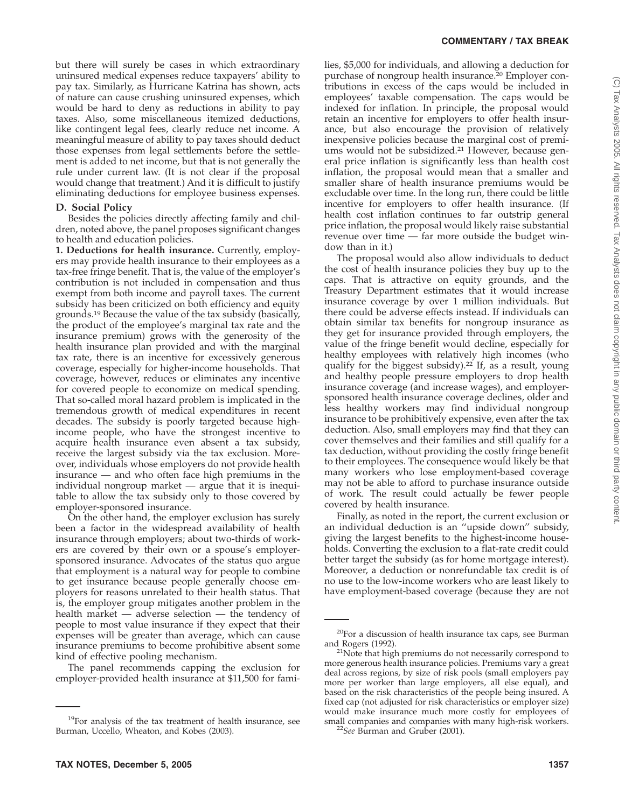but there will surely be cases in which extraordinary uninsured medical expenses reduce taxpayers' ability to pay tax. Similarly, as Hurricane Katrina has shown, acts of nature can cause crushing uninsured expenses, which would be hard to deny as reductions in ability to pay taxes. Also, some miscellaneous itemized deductions, like contingent legal fees, clearly reduce net income. A meaningful measure of ability to pay taxes should deduct those expenses from legal settlements before the settlement is added to net income, but that is not generally the rule under current law. (It is not clear if the proposal would change that treatment.) And it is difficult to justify eliminating deductions for employee business expenses.

# **D. Social Policy**

Besides the policies directly affecting family and children, noted above, the panel proposes significant changes to health and education policies.

**1. Deductions for health insurance.** Currently, employers may provide health insurance to their employees as a tax-free fringe benefit. That is, the value of the employer's contribution is not included in compensation and thus exempt from both income and payroll taxes. The current subsidy has been criticized on both efficiency and equity grounds.19 Because the value of the tax subsidy (basically, the product of the employee's marginal tax rate and the insurance premium) grows with the generosity of the health insurance plan provided and with the marginal tax rate, there is an incentive for excessively generous coverage, especially for higher-income households. That coverage, however, reduces or eliminates any incentive for covered people to economize on medical spending. That so-called moral hazard problem is implicated in the tremendous growth of medical expenditures in recent decades. The subsidy is poorly targeted because highincome people, who have the strongest incentive to acquire health insurance even absent a tax subsidy, receive the largest subsidy via the tax exclusion. Moreover, individuals whose employers do not provide health insurance — and who often face high premiums in the individual nongroup market — argue that it is inequitable to allow the tax subsidy only to those covered by employer-sponsored insurance.

On the other hand, the employer exclusion has surely been a factor in the widespread availability of health insurance through employers; about two-thirds of workers are covered by their own or a spouse's employersponsored insurance. Advocates of the status quo argue that employment is a natural way for people to combine to get insurance because people generally choose employers for reasons unrelated to their health status. That is, the employer group mitigates another problem in the health market — adverse selection — the tendency of people to most value insurance if they expect that their expenses will be greater than average, which can cause insurance premiums to become prohibitive absent some kind of effective pooling mechanism.

The panel recommends capping the exclusion for employer-provided health insurance at \$11,500 for families, \$5,000 for individuals, and allowing a deduction for purchase of nongroup health insurance.<sup>20</sup> Employer contributions in excess of the caps would be included in employees' taxable compensation. The caps would be indexed for inflation. In principle, the proposal would retain an incentive for employers to offer health insurance, but also encourage the provision of relatively inexpensive policies because the marginal cost of premiums would not be subsidized.21 However, because general price inflation is significantly less than health cost inflation, the proposal would mean that a smaller and smaller share of health insurance premiums would be excludable over time. In the long run, there could be little incentive for employers to offer health insurance. (If health cost inflation continues to far outstrip general price inflation, the proposal would likely raise substantial revenue over time — far more outside the budget window than in it.)

The proposal would also allow individuals to deduct the cost of health insurance policies they buy up to the caps. That is attractive on equity grounds, and the Treasury Department estimates that it would increase insurance coverage by over 1 million individuals. But there could be adverse effects instead. If individuals can obtain similar tax benefits for nongroup insurance as they get for insurance provided through employers, the value of the fringe benefit would decline, especially for healthy employees with relatively high incomes (who qualify for the biggest subsidy).22 If, as a result, young and healthy people pressure employers to drop health insurance coverage (and increase wages), and employersponsored health insurance coverage declines, older and less healthy workers may find individual nongroup insurance to be prohibitively expensive, even after the tax deduction. Also, small employers may find that they can cover themselves and their families and still qualify for a tax deduction, without providing the costly fringe benefit to their employees. The consequence would likely be that many workers who lose employment-based coverage may not be able to afford to purchase insurance outside of work. The result could actually be fewer people covered by health insurance.

Finally, as noted in the report, the current exclusion or an individual deduction is an ''upside down'' subsidy, giving the largest benefits to the highest-income households. Converting the exclusion to a flat-rate credit could better target the subsidy (as for home mortgage interest). Moreover, a deduction or nonrefundable tax credit is of no use to the low-income workers who are least likely to have employment-based coverage (because they are not

<sup>&</sup>lt;sup>19</sup>For analysis of the tax treatment of health insurance, see Burman, Uccello, Wheaton, and Kobes (2003).

<sup>&</sup>lt;sup>20</sup>For a discussion of health insurance tax caps, see Burman and Rogers (1992).

<sup>&</sup>lt;sup>21</sup>Note that high premiums do not necessarily correspond to more generous health insurance policies. Premiums vary a great deal across regions, by size of risk pools (small employers pay more per worker than large employers, all else equal), and based on the risk characteristics of the people being insured. A fixed cap (not adjusted for risk characteristics or employer size) would make insurance much more costly for employees of small companies and companies with many high-risk workers. <sup>22</sup>*See* Burman and Gruber (2001).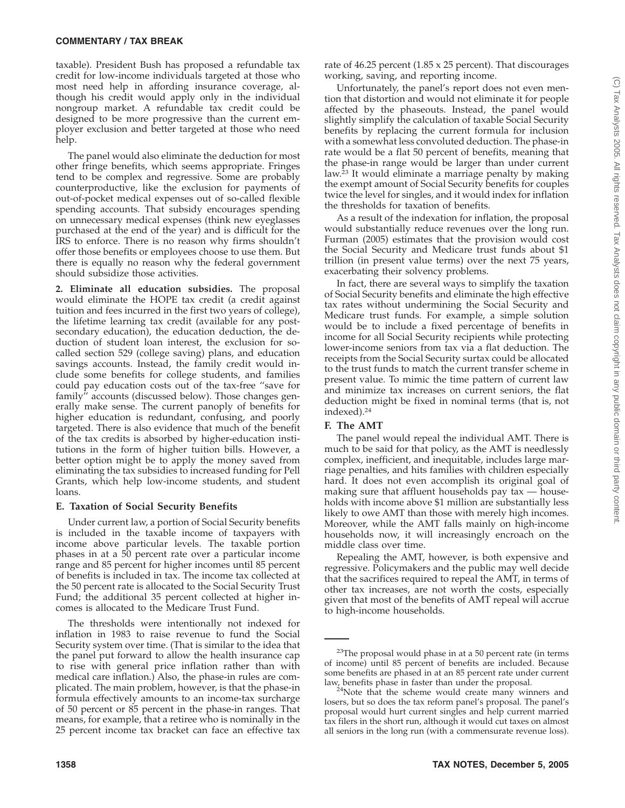taxable). President Bush has proposed a refundable tax credit for low-income individuals targeted at those who most need help in affording insurance coverage, although his credit would apply only in the individual nongroup market. A refundable tax credit could be designed to be more progressive than the current employer exclusion and better targeted at those who need help.

The panel would also eliminate the deduction for most other fringe benefits, which seems appropriate. Fringes tend to be complex and regressive. Some are probably counterproductive, like the exclusion for payments of out-of-pocket medical expenses out of so-called flexible spending accounts. That subsidy encourages spending on unnecessary medical expenses (think new eyeglasses purchased at the end of the year) and is difficult for the IRS to enforce. There is no reason why firms shouldn't offer those benefits or employees choose to use them. But there is equally no reason why the federal government should subsidize those activities.

**2. Eliminate all education subsidies.** The proposal would eliminate the HOPE tax credit (a credit against tuition and fees incurred in the first two years of college), the lifetime learning tax credit (available for any postsecondary education), the education deduction, the deduction of student loan interest, the exclusion for socalled section 529 (college saving) plans, and education savings accounts. Instead, the family credit would include some benefits for college students, and families could pay education costs out of the tax-free ''save for family'' accounts (discussed below). Those changes generally make sense. The current panoply of benefits for higher education is redundant, confusing, and poorly targeted. There is also evidence that much of the benefit of the tax credits is absorbed by higher-education institutions in the form of higher tuition bills. However, a better option might be to apply the money saved from eliminating the tax subsidies to increased funding for Pell Grants, which help low-income students, and student loans.

#### **E. Taxation of Social Security Benefits**

Under current law, a portion of Social Security benefits is included in the taxable income of taxpayers with income above particular levels. The taxable portion phases in at a 50 percent rate over a particular income range and 85 percent for higher incomes until 85 percent of benefits is included in tax. The income tax collected at the 50 percent rate is allocated to the Social Security Trust Fund; the additional 35 percent collected at higher incomes is allocated to the Medicare Trust Fund.

The thresholds were intentionally not indexed for inflation in 1983 to raise revenue to fund the Social Security system over time. (That is similar to the idea that the panel put forward to allow the health insurance cap to rise with general price inflation rather than with medical care inflation.) Also, the phase-in rules are complicated. The main problem, however, is that the phase-in formula effectively amounts to an income-tax surcharge of 50 percent or 85 percent in the phase-in ranges. That means, for example, that a retiree who is nominally in the 25 percent income tax bracket can face an effective tax

rate of 46.25 percent (1.85 x 25 percent). That discourages working, saving, and reporting income.

Unfortunately, the panel's report does not even mention that distortion and would not eliminate it for people affected by the phaseouts. Instead, the panel would slightly simplify the calculation of taxable Social Security benefits by replacing the current formula for inclusion with a somewhat less convoluted deduction. The phase-in rate would be a flat 50 percent of benefits, meaning that the phase-in range would be larger than under current law.23 It would eliminate a marriage penalty by making the exempt amount of Social Security benefits for couples twice the level for singles, and it would index for inflation the thresholds for taxation of benefits.

As a result of the indexation for inflation, the proposal would substantially reduce revenues over the long run. Furman (2005) estimates that the provision would cost the Social Security and Medicare trust funds about \$1 trillion (in present value terms) over the next 75 years, exacerbating their solvency problems.

In fact, there are several ways to simplify the taxation of Social Security benefits and eliminate the high effective tax rates without undermining the Social Security and Medicare trust funds. For example, a simple solution would be to include a fixed percentage of benefits in income for all Social Security recipients while protecting lower-income seniors from tax via a flat deduction. The receipts from the Social Security surtax could be allocated to the trust funds to match the current transfer scheme in present value. To mimic the time pattern of current law and minimize tax increases on current seniors, the flat deduction might be fixed in nominal terms (that is, not indexed).24

#### **F. The AMT**

The panel would repeal the individual AMT. There is much to be said for that policy, as the AMT is needlessly complex, inefficient, and inequitable, includes large marriage penalties, and hits families with children especially hard. It does not even accomplish its original goal of making sure that affluent households pay tax — households with income above \$1 million are substantially less likely to owe AMT than those with merely high incomes. Moreover, while the AMT falls mainly on high-income households now, it will increasingly encroach on the middle class over time.

Repealing the AMT, however, is both expensive and regressive. Policymakers and the public may well decide that the sacrifices required to repeal the AMT, in terms of other tax increases, are not worth the costs, especially given that most of the benefits of AMT repeal will accrue to high-income households.

 $23$ The proposal would phase in at a 50 percent rate (in terms of income) until 85 percent of benefits are included. Because some benefits are phased in at an 85 percent rate under current law, benefits phase in faster than under the proposal.

 $24$ Note that the scheme would create many winners and losers, but so does the tax reform panel's proposal. The panel's proposal would hurt current singles and help current married tax filers in the short run, although it would cut taxes on almost all seniors in the long run (with a commensurate revenue loss).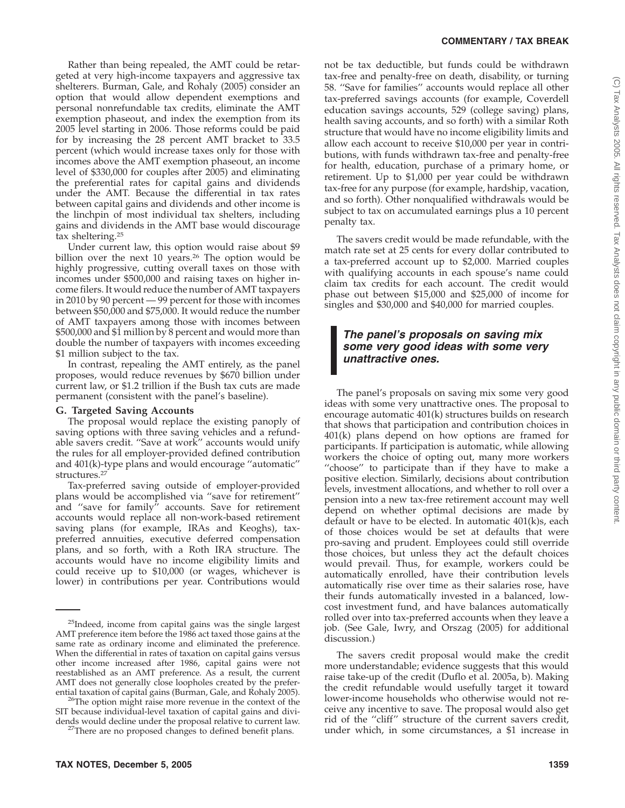Rather than being repealed, the AMT could be retargeted at very high-income taxpayers and aggressive tax shelterers. Burman, Gale, and Rohaly (2005) consider an option that would allow dependent exemptions and personal nonrefundable tax credits, eliminate the AMT exemption phaseout, and index the exemption from its 2005 level starting in 2006. Those reforms could be paid for by increasing the 28 percent AMT bracket to 33.5 percent (which would increase taxes only for those with incomes above the AMT exemption phaseout, an income level of \$330,000 for couples after 2005) and eliminating the preferential rates for capital gains and dividends under the AMT. Because the differential in tax rates between capital gains and dividends and other income is the linchpin of most individual tax shelters, including gains and dividends in the AMT base would discourage tax sheltering.25

Under current law, this option would raise about \$9 billion over the next 10 years.<sup>26</sup> The option would be highly progressive, cutting overall taxes on those with incomes under \$500,000 and raising taxes on higher income filers. It would reduce the number of AMT taxpayers in 2010 by 90 percent — 99 percent for those with incomes between \$50,000 and \$75,000. It would reduce the number of AMT taxpayers among those with incomes between \$500,000 and \$1 million by 8 percent and would more than double the number of taxpayers with incomes exceeding \$1 million subject to the tax.

In contrast, repealing the AMT entirely, as the panel proposes, would reduce revenues by \$670 billion under current law, or \$1.2 trillion if the Bush tax cuts are made permanent (consistent with the panel's baseline).

## **G. Targeted Saving Accounts**

The proposal would replace the existing panoply of saving options with three saving vehicles and a refundable savers credit. "Save at work" accounts would unify the rules for all employer-provided defined contribution and 401(k)-type plans and would encourage ''automatic'' structures.<sup>27</sup>

Tax-preferred saving outside of employer-provided plans would be accomplished via ''save for retirement'' and ''save for family'' accounts. Save for retirement accounts would replace all non-work-based retirement saving plans (for example, IRAs and Keoghs), taxpreferred annuities, executive deferred compensation plans, and so forth, with a Roth IRA structure. The accounts would have no income eligibility limits and could receive up to \$10,000 (or wages, whichever is lower) in contributions per year. Contributions would

<sup>26</sup>The option might raise more revenue in the context of the SIT because individual-level taxation of capital gains and dividends would decline under the proposal relative to current law. 27There are no proposed changes to defined benefit plans.

not be tax deductible, but funds could be withdrawn tax-free and penalty-free on death, disability, or turning 58. ''Save for families'' accounts would replace all other tax-preferred savings accounts (for example, Coverdell education savings accounts, 529 (college saving) plans, health saving accounts, and so forth) with a similar Roth structure that would have no income eligibility limits and allow each account to receive \$10,000 per year in contributions, with funds withdrawn tax-free and penalty-free for health, education, purchase of a primary home, or retirement. Up to \$1,000 per year could be withdrawn tax-free for any purpose (for example, hardship, vacation, and so forth). Other nonqualified withdrawals would be subject to tax on accumulated earnings plus a 10 percent penalty tax.

The savers credit would be made refundable, with the match rate set at 25 cents for every dollar contributed to a tax-preferred account up to \$2,000. Married couples with qualifying accounts in each spouse's name could claim tax credits for each account. The credit would phase out between \$15,000 and \$25,000 of income for singles and \$30,000 and \$40,000 for married couples.

# *The panel's proposals on saving mix some very good ideas with some very unattractive ones.*

The panel's proposals on saving mix some very good ideas with some very unattractive ones. The proposal to encourage automatic 401(k) structures builds on research that shows that participation and contribution choices in 401(k) plans depend on how options are framed for participants. If participation is automatic, while allowing workers the choice of opting out, many more workers "choose" to participate than if they have to make a positive election. Similarly, decisions about contribution levels, investment allocations, and whether to roll over a pension into a new tax-free retirement account may well depend on whether optimal decisions are made by default or have to be elected. In automatic 401(k)s, each of those choices would be set at defaults that were pro-saving and prudent. Employees could still override those choices, but unless they act the default choices would prevail. Thus, for example, workers could be automatically enrolled, have their contribution levels automatically rise over time as their salaries rose, have their funds automatically invested in a balanced, lowcost investment fund, and have balances automatically rolled over into tax-preferred accounts when they leave a job. (See Gale, Iwry, and Orszag (2005) for additional discussion.)

The savers credit proposal would make the credit more understandable; evidence suggests that this would raise take-up of the credit (Duflo et al. 2005a, b). Making the credit refundable would usefully target it toward lower-income households who otherwise would not receive any incentive to save. The proposal would also get rid of the ''cliff'' structure of the current savers credit, under which, in some circumstances, a \$1 increase in

<sup>&</sup>lt;sup>25</sup>Indeed, income from capital gains was the single largest AMT preference item before the 1986 act taxed those gains at the same rate as ordinary income and eliminated the preference. When the differential in rates of taxation on capital gains versus other income increased after 1986, capital gains were not reestablished as an AMT preference. As a result, the current AMT does not generally close loopholes created by the prefer-<br>ential taxation of capital gains (Burman, Gale, and Rohaly 2005).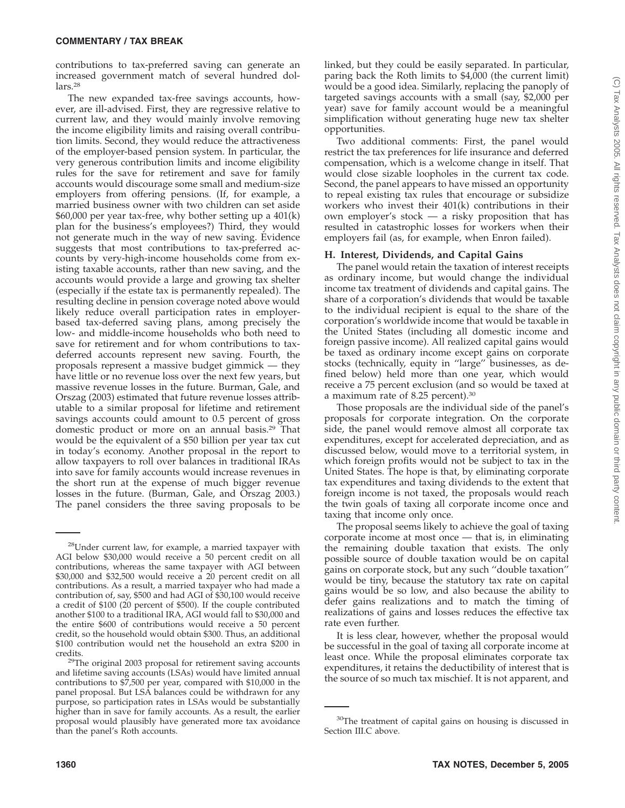contributions to tax-preferred saving can generate an increased government match of several hundred dollars.28

The new expanded tax-free savings accounts, however, are ill-advised. First, they are regressive relative to current law, and they would mainly involve removing the income eligibility limits and raising overall contribution limits. Second, they would reduce the attractiveness of the employer-based pension system. In particular, the very generous contribution limits and income eligibility rules for the save for retirement and save for family accounts would discourage some small and medium-size employers from offering pensions. (If, for example, a married business owner with two children can set aside \$60,000 per year tax-free, why bother setting up a 401(k) plan for the business's employees?) Third, they would not generate much in the way of new saving. Evidence suggests that most contributions to tax-preferred accounts by very-high-income households come from existing taxable accounts, rather than new saving, and the accounts would provide a large and growing tax shelter (especially if the estate tax is permanently repealed). The resulting decline in pension coverage noted above would likely reduce overall participation rates in employerbased tax-deferred saving plans, among precisely the low- and middle-income households who both need to save for retirement and for whom contributions to taxdeferred accounts represent new saving. Fourth, the proposals represent a massive budget gimmick — they have little or no revenue loss over the next few years, but massive revenue losses in the future. Burman, Gale, and Orszag (2003) estimated that future revenue losses attributable to a similar proposal for lifetime and retirement savings accounts could amount to 0.5 percent of gross domestic product or more on an annual basis.29 That would be the equivalent of a \$50 billion per year tax cut in today's economy. Another proposal in the report to allow taxpayers to roll over balances in traditional IRAs into save for family accounts would increase revenues in the short run at the expense of much bigger revenue losses in the future. (Burman, Gale, and Orszag 2003.) The panel considers the three saving proposals to be

linked, but they could be easily separated. In particular, paring back the Roth limits to \$4,000 (the current limit) would be a good idea. Similarly, replacing the panoply of targeted savings accounts with a small (say, \$2,000 per year) save for family account would be a meaningful simplification without generating huge new tax shelter opportunities.

Two additional comments: First, the panel would restrict the tax preferences for life insurance and deferred compensation, which is a welcome change in itself. That would close sizable loopholes in the current tax code. Second, the panel appears to have missed an opportunity to repeal existing tax rules that encourage or subsidize workers who invest their 401(k) contributions in their own employer's stock — a risky proposition that has resulted in catastrophic losses for workers when their employers fail (as, for example, when Enron failed).

#### **H. Interest, Dividends, and Capital Gains**

The panel would retain the taxation of interest receipts as ordinary income, but would change the individual income tax treatment of dividends and capital gains. The share of a corporation's dividends that would be taxable to the individual recipient is equal to the share of the corporation's worldwide income that would be taxable in the United States (including all domestic income and foreign passive income). All realized capital gains would be taxed as ordinary income except gains on corporate stocks (technically, equity in ''large'' businesses, as defined below) held more than one year, which would receive a 75 percent exclusion (and so would be taxed at a maximum rate of 8.25 percent).30

Those proposals are the individual side of the panel's proposals for corporate integration. On the corporate side, the panel would remove almost all corporate tax expenditures, except for accelerated depreciation, and as discussed below, would move to a territorial system, in which foreign profits would not be subject to tax in the United States. The hope is that, by eliminating corporate tax expenditures and taxing dividends to the extent that foreign income is not taxed, the proposals would reach the twin goals of taxing all corporate income once and taxing that income only once.

The proposal seems likely to achieve the goal of taxing corporate income at most once — that is, in eliminating the remaining double taxation that exists. The only possible source of double taxation would be on capital gains on corporate stock, but any such ''double taxation'' would be tiny, because the statutory tax rate on capital gains would be so low, and also because the ability to defer gains realizations and to match the timing of realizations of gains and losses reduces the effective tax rate even further.

It is less clear, however, whether the proposal would be successful in the goal of taxing all corporate income at least once. While the proposal eliminates corporate tax expenditures, it retains the deductibility of interest that is the source of so much tax mischief. It is not apparent, and

<sup>28</sup>Under current law, for example, a married taxpayer with AGI below \$30,000 would receive a 50 percent credit on all contributions, whereas the same taxpayer with AGI between \$30,000 and \$32,500 would receive a 20 percent credit on all contributions. As a result, a married taxpayer who had made a contribution of, say, \$500 and had AGI of \$30,100 would receive a credit of \$100 (20 percent of \$500). If the couple contributed another \$100 to a traditional IRA, AGI would fall to \$30,000 and the entire \$600 of contributions would receive a 50 percent credit, so the household would obtain \$300. Thus, an additional \$100 contribution would net the household an extra \$200 in

credits. 29The original 2003 proposal for retirement saving accounts and lifetime saving accounts (LSAs) would have limited annual contributions to \$7,500 per year, compared with \$10,000 in the panel proposal. But LSA balances could be withdrawn for any purpose, so participation rates in LSAs would be substantially higher than in save for family accounts. As a result, the earlier proposal would plausibly have generated more tax avoidance than the panel's Roth accounts.

<sup>&</sup>lt;sup>30</sup>The treatment of capital gains on housing is discussed in Section III.C above.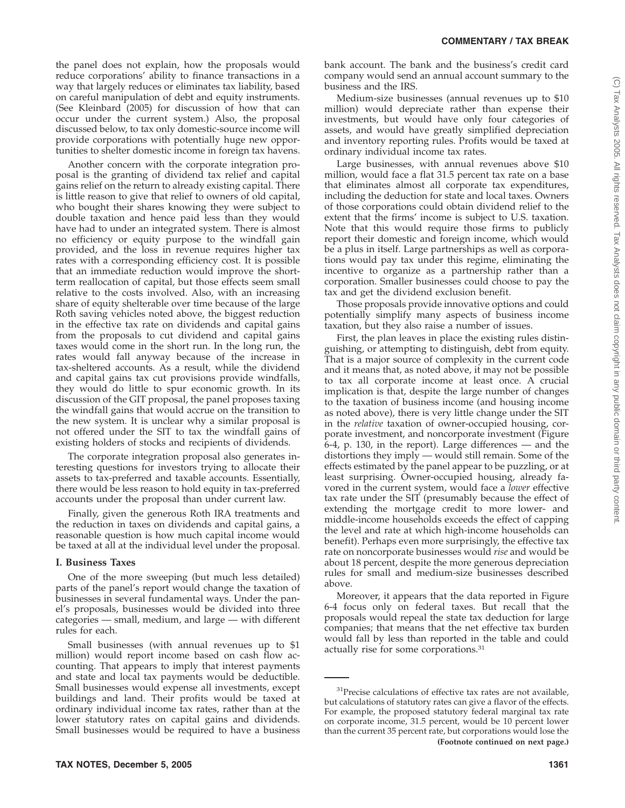the panel does not explain, how the proposals would reduce corporations' ability to finance transactions in a way that largely reduces or eliminates tax liability, based on careful manipulation of debt and equity instruments. (See Kleinbard (2005) for discussion of how that can occur under the current system.) Also, the proposal discussed below, to tax only domestic-source income will provide corporations with potentially huge new opportunities to shelter domestic income in foreign tax havens.

Another concern with the corporate integration proposal is the granting of dividend tax relief and capital gains relief on the return to already existing capital. There is little reason to give that relief to owners of old capital, who bought their shares knowing they were subject to double taxation and hence paid less than they would have had to under an integrated system. There is almost no efficiency or equity purpose to the windfall gain provided, and the loss in revenue requires higher tax rates with a corresponding efficiency cost. It is possible that an immediate reduction would improve the shortterm reallocation of capital, but those effects seem small relative to the costs involved. Also, with an increasing share of equity shelterable over time because of the large Roth saving vehicles noted above, the biggest reduction in the effective tax rate on dividends and capital gains from the proposals to cut dividend and capital gains taxes would come in the short run. In the long run, the rates would fall anyway because of the increase in tax-sheltered accounts. As a result, while the dividend and capital gains tax cut provisions provide windfalls, they would do little to spur economic growth. In its discussion of the GIT proposal, the panel proposes taxing the windfall gains that would accrue on the transition to the new system. It is unclear why a similar proposal is not offered under the SIT to tax the windfall gains of existing holders of stocks and recipients of dividends.

The corporate integration proposal also generates interesting questions for investors trying to allocate their assets to tax-preferred and taxable accounts. Essentially, there would be less reason to hold equity in tax-preferred accounts under the proposal than under current law.

Finally, given the generous Roth IRA treatments and the reduction in taxes on dividends and capital gains, a reasonable question is how much capital income would be taxed at all at the individual level under the proposal.

## **I. Business Taxes**

One of the more sweeping (but much less detailed) parts of the panel's report would change the taxation of businesses in several fundamental ways. Under the panel's proposals, businesses would be divided into three categories — small, medium, and large — with different rules for each.

Small businesses (with annual revenues up to \$1 million) would report income based on cash flow accounting. That appears to imply that interest payments and state and local tax payments would be deductible. Small businesses would expense all investments, except buildings and land. Their profits would be taxed at ordinary individual income tax rates, rather than at the lower statutory rates on capital gains and dividends. Small businesses would be required to have a business

bank account. The bank and the business's credit card company would send an annual account summary to the business and the IRS.

Medium-size businesses (annual revenues up to \$10 million) would depreciate rather than expense their investments, but would have only four categories of assets, and would have greatly simplified depreciation and inventory reporting rules. Profits would be taxed at ordinary individual income tax rates.

Large businesses, with annual revenues above \$10 million, would face a flat 31.5 percent tax rate on a base that eliminates almost all corporate tax expenditures, including the deduction for state and local taxes. Owners of those corporations could obtain dividend relief to the extent that the firms' income is subject to U.S. taxation. Note that this would require those firms to publicly report their domestic and foreign income, which would be a plus in itself. Large partnerships as well as corporations would pay tax under this regime, eliminating the incentive to organize as a partnership rather than a corporation. Smaller businesses could choose to pay the tax and get the dividend exclusion benefit.

Those proposals provide innovative options and could potentially simplify many aspects of business income taxation, but they also raise a number of issues.

First, the plan leaves in place the existing rules distinguishing, or attempting to distinguish, debt from equity. That is a major source of complexity in the current code and it means that, as noted above, it may not be possible to tax all corporate income at least once. A crucial implication is that, despite the large number of changes to the taxation of business income (and housing income as noted above), there is very little change under the SIT in the *relative* taxation of owner-occupied housing, corporate investment, and noncorporate investment (Figure 6-4, p. 130, in the report). Large differences — and the distortions they imply — would still remain. Some of the effects estimated by the panel appear to be puzzling, or at least surprising. Owner-occupied housing, already favored in the current system, would face a *lower* effective tax rate under the SIT (presumably because the effect of extending the mortgage credit to more lower- and middle-income households exceeds the effect of capping the level and rate at which high-income households can benefit). Perhaps even more surprisingly, the effective tax rate on noncorporate businesses would *rise* and would be about 18 percent, despite the more generous depreciation rules for small and medium-size businesses described above.

Moreover, it appears that the data reported in Figure 6-4 focus only on federal taxes. But recall that the proposals would repeal the state tax deduction for large companies; that means that the net effective tax burden would fall by less than reported in the table and could actually rise for some corporations.31

<sup>&</sup>lt;sup>31</sup>Precise calculations of effective tax rates are not available, but calculations of statutory rates can give a flavor of the effects. For example, the proposed statutory federal marginal tax rate on corporate income, 31.5 percent, would be 10 percent lower than the current 35 percent rate, but corporations would lose the **(Footnote continued on next page.)**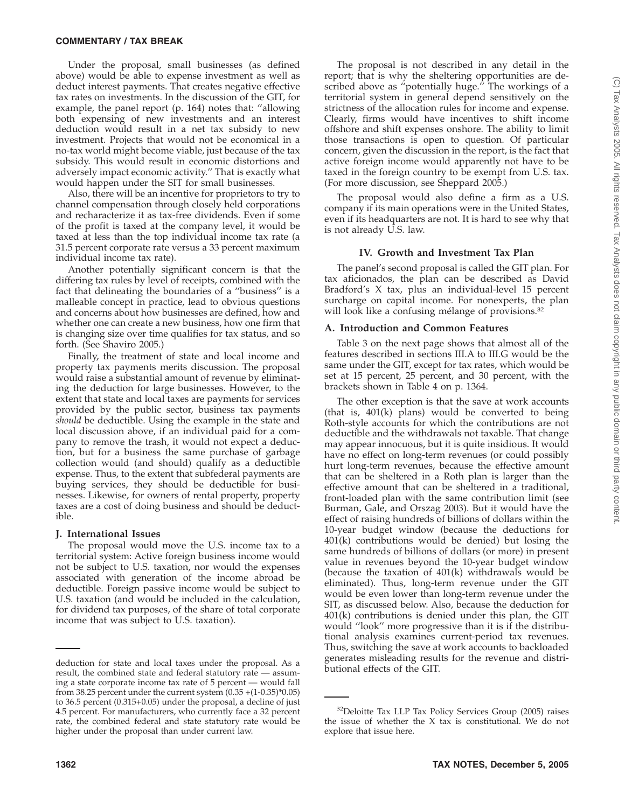Under the proposal, small businesses (as defined above) would be able to expense investment as well as deduct interest payments. That creates negative effective tax rates on investments. In the discussion of the GIT, for example, the panel report (p. 164) notes that: ''allowing both expensing of new investments and an interest deduction would result in a net tax subsidy to new investment. Projects that would not be economical in a no-tax world might become viable, just because of the tax subsidy. This would result in economic distortions and adversely impact economic activity.'' That is exactly what would happen under the SIT for small businesses.

Also, there will be an incentive for proprietors to try to channel compensation through closely held corporations and recharacterize it as tax-free dividends. Even if some of the profit is taxed at the company level, it would be taxed at less than the top individual income tax rate (a 31.5 percent corporate rate versus a 33 percent maximum individual income tax rate).

Another potentially significant concern is that the differing tax rules by level of receipts, combined with the fact that delineating the boundaries of a ''business'' is a malleable concept in practice, lead to obvious questions and concerns about how businesses are defined, how and whether one can create a new business, how one firm that is changing size over time qualifies for tax status, and so forth. (See Shaviro 2005.)

Finally, the treatment of state and local income and property tax payments merits discussion. The proposal would raise a substantial amount of revenue by eliminating the deduction for large businesses. However, to the extent that state and local taxes are payments for services provided by the public sector, business tax payments *should* be deductible. Using the example in the state and local discussion above, if an individual paid for a company to remove the trash, it would not expect a deduction, but for a business the same purchase of garbage collection would (and should) qualify as a deductible expense. Thus, to the extent that subfederal payments are buying services, they should be deductible for businesses. Likewise, for owners of rental property, property taxes are a cost of doing business and should be deductible.

## **J. International Issues**

The proposal would move the U.S. income tax to a territorial system: Active foreign business income would not be subject to U.S. taxation, nor would the expenses associated with generation of the income abroad be deductible. Foreign passive income would be subject to U.S. taxation (and would be included in the calculation, for dividend tax purposes, of the share of total corporate income that was subject to U.S. taxation).

The proposal is not described in any detail in the report; that is why the sheltering opportunities are described above as ''potentially huge.'' The workings of a territorial system in general depend sensitively on the strictness of the allocation rules for income and expense. Clearly, firms would have incentives to shift income offshore and shift expenses onshore. The ability to limit those transactions is open to question. Of particular concern, given the discussion in the report, is the fact that active foreign income would apparently not have to be taxed in the foreign country to be exempt from U.S. tax. (For more discussion, see Sheppard 2005.)

The proposal would also define a firm as a U.S. company if its main operations were in the United States, even if its headquarters are not. It is hard to see why that is not already U.S. law.

## **IV. Growth and Investment Tax Plan**

The panel's second proposal is called the GIT plan. For tax aficionados, the plan can be described as David Bradford's X tax, plus an individual-level 15 percent surcharge on capital income. For nonexperts, the plan will look like a confusing mélange of provisions.<sup>32</sup>

## **A. Introduction and Common Features**

Table 3 on the next page shows that almost all of the features described in sections III.A to III.G would be the same under the GIT, except for tax rates, which would be set at 15 percent, 25 percent, and 30 percent, with the brackets shown in Table 4 on p. 1364.

The other exception is that the save at work accounts (that is, 401(k) plans) would be converted to being Roth-style accounts for which the contributions are not deductible and the withdrawals not taxable. That change may appear innocuous, but it is quite insidious. It would have no effect on long-term revenues (or could possibly hurt long-term revenues, because the effective amount that can be sheltered in a Roth plan is larger than the effective amount that can be sheltered in a traditional, front-loaded plan with the same contribution limit (see Burman, Gale, and Orszag 2003). But it would have the effect of raising hundreds of billions of dollars within the 10-year budget window (because the deductions for 401(k) contributions would be denied) but losing the same hundreds of billions of dollars (or more) in present value in revenues beyond the 10-year budget window (because the taxation of  $401(k)$  withdrawals would be eliminated). Thus, long-term revenue under the GIT would be even lower than long-term revenue under the SIT, as discussed below. Also, because the deduction for 401(k) contributions is denied under this plan, the GIT would ''look'' more progressive than it is if the distributional analysis examines current-period tax revenues. Thus, switching the save at work accounts to backloaded generates misleading results for the revenue and distri-

deduction for state and local taxes under the proposal. As a result, the combined state and federal statutory rate — assuming a state corporate income tax rate of 5 percent — would fall from 38.25 percent under the current system (0.35 +(1-0.35)\*0.05) to 36.5 percent (0.315+0.05) under the proposal, a decline of just 4.5 percent. For manufacturers, who currently face a 32 percent rate, the combined federal and state statutory rate would be higher under the proposal than under current law.

<sup>32</sup>Deloitte Tax LLP Tax Policy Services Group (2005) raises the issue of whether the X tax is constitutional. We do not explore that issue here.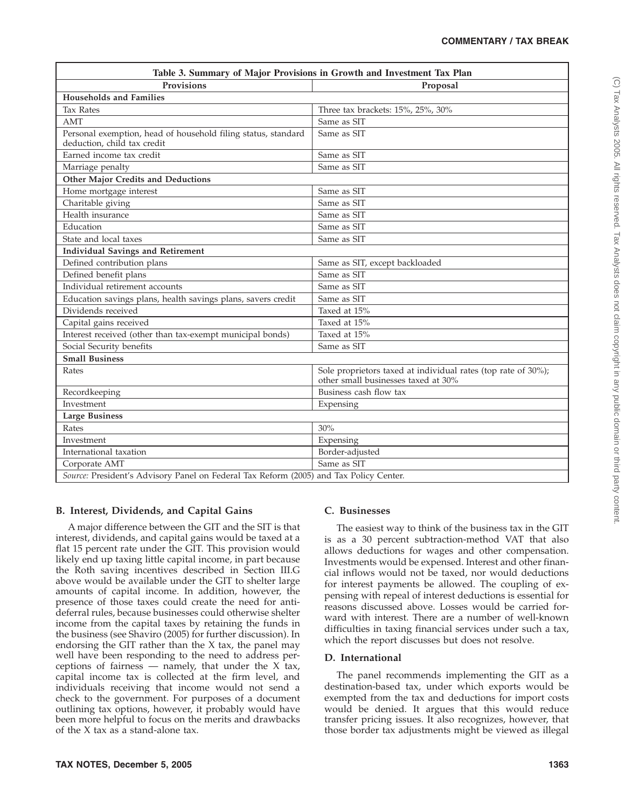| Table 3. Summary of Major Provisions in Growth and Investment Tax Plan                       |                                                                                                      |  |  |  |  |
|----------------------------------------------------------------------------------------------|------------------------------------------------------------------------------------------------------|--|--|--|--|
| <b>Provisions</b>                                                                            | Proposal                                                                                             |  |  |  |  |
| <b>Households and Families</b>                                                               |                                                                                                      |  |  |  |  |
| <b>Tax Rates</b>                                                                             | Three tax brackets: 15%, 25%, 30%                                                                    |  |  |  |  |
| <b>AMT</b>                                                                                   | Same as SIT                                                                                          |  |  |  |  |
| Personal exemption, head of household filing status, standard<br>deduction, child tax credit | Same as SIT                                                                                          |  |  |  |  |
| Earned income tax credit                                                                     | Same as SIT                                                                                          |  |  |  |  |
| Marriage penalty                                                                             | Same as SIT                                                                                          |  |  |  |  |
| <b>Other Major Credits and Deductions</b>                                                    |                                                                                                      |  |  |  |  |
| Home mortgage interest                                                                       | Same as SIT                                                                                          |  |  |  |  |
| Charitable giving                                                                            | Same as SIT                                                                                          |  |  |  |  |
| Health insurance                                                                             | Same as SIT                                                                                          |  |  |  |  |
| Education                                                                                    | Same as SIT                                                                                          |  |  |  |  |
| State and local taxes                                                                        | Same as SIT                                                                                          |  |  |  |  |
| <b>Individual Savings and Retirement</b>                                                     |                                                                                                      |  |  |  |  |
| Defined contribution plans                                                                   | Same as SIT, except backloaded                                                                       |  |  |  |  |
| Defined benefit plans                                                                        | Same as SIT                                                                                          |  |  |  |  |
| Individual retirement accounts                                                               | Same as SIT                                                                                          |  |  |  |  |
| Education savings plans, health savings plans, savers credit                                 | Same as SIT                                                                                          |  |  |  |  |
| Dividends received                                                                           | Taxed at 15%                                                                                         |  |  |  |  |
| Capital gains received                                                                       | Taxed at 15%                                                                                         |  |  |  |  |
| Interest received (other than tax-exempt municipal bonds)                                    | Taxed at 15%                                                                                         |  |  |  |  |
| Social Security benefits                                                                     | Same as SIT                                                                                          |  |  |  |  |
| <b>Small Business</b>                                                                        |                                                                                                      |  |  |  |  |
| Rates                                                                                        | Sole proprietors taxed at individual rates (top rate of 30%);<br>other small businesses taxed at 30% |  |  |  |  |
| Recordkeeping                                                                                | Business cash flow tax                                                                               |  |  |  |  |
| Investment                                                                                   | Expensing                                                                                            |  |  |  |  |
| <b>Large Business</b>                                                                        |                                                                                                      |  |  |  |  |
| Rates                                                                                        | 30%                                                                                                  |  |  |  |  |
| Investment                                                                                   | Expensing                                                                                            |  |  |  |  |
| International taxation                                                                       | Border-adjusted                                                                                      |  |  |  |  |
| Corporate AMT                                                                                | Same as SIT                                                                                          |  |  |  |  |
| Source: President's Advisory Panel on Federal Tax Reform (2005) and Tax Policy Center.       |                                                                                                      |  |  |  |  |

# **B. Interest, Dividends, and Capital Gains**

A major difference between the GIT and the SIT is that interest, dividends, and capital gains would be taxed at a flat 15 percent rate under the GIT. This provision would likely end up taxing little capital income, in part because the Roth saving incentives described in Section III.G above would be available under the GIT to shelter large amounts of capital income. In addition, however, the presence of those taxes could create the need for antideferral rules, because businesses could otherwise shelter income from the capital taxes by retaining the funds in the business (see Shaviro (2005) for further discussion). In endorsing the GIT rather than the X tax, the panel may well have been responding to the need to address perceptions of fairness — namely, that under the  $X$  tax, capital income tax is collected at the firm level, and individuals receiving that income would not send a check to the government. For purposes of a document outlining tax options, however, it probably would have been more helpful to focus on the merits and drawbacks of the X tax as a stand-alone tax.

## **C. Businesses**

The easiest way to think of the business tax in the GIT is as a 30 percent subtraction-method VAT that also allows deductions for wages and other compensation. Investments would be expensed. Interest and other financial inflows would not be taxed, nor would deductions for interest payments be allowed. The coupling of expensing with repeal of interest deductions is essential for reasons discussed above. Losses would be carried forward with interest. There are a number of well-known difficulties in taxing financial services under such a tax, which the report discusses but does not resolve.

## **D. International**

The panel recommends implementing the GIT as a destination-based tax, under which exports would be exempted from the tax and deductions for import costs would be denied. It argues that this would reduce transfer pricing issues. It also recognizes, however, that those border tax adjustments might be viewed as illegal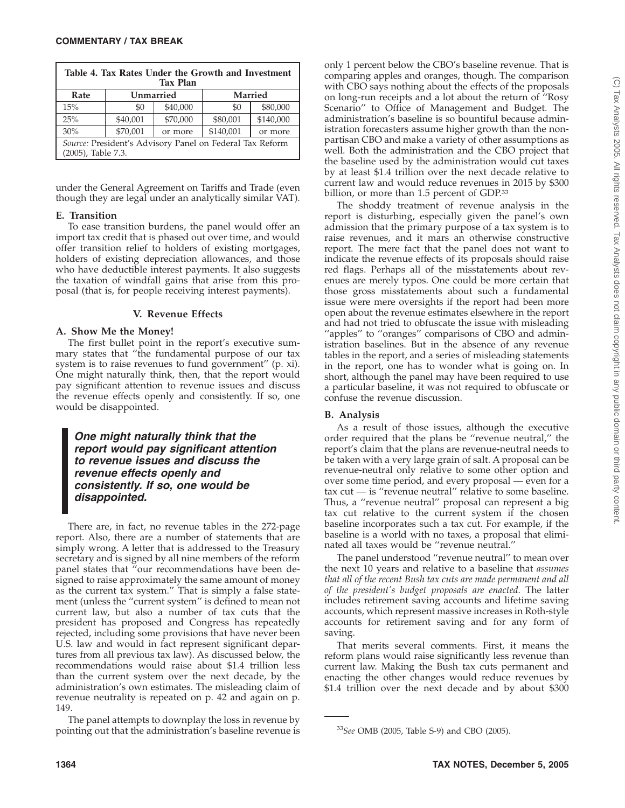| Table 4. Tax Rates Under the Growth and Investment<br><b>Tax Plan</b>          |           |          |                |           |  |  |  |
|--------------------------------------------------------------------------------|-----------|----------|----------------|-----------|--|--|--|
| Rate                                                                           | Unmarried |          | <b>Married</b> |           |  |  |  |
| 15%                                                                            | \$0       | \$40,000 | \$0            | \$80,000  |  |  |  |
| 25%                                                                            | \$40,001  | \$70,000 | \$80,001       | \$140,000 |  |  |  |
| 30%                                                                            | \$70,001  | or more  | \$140,001      | or more   |  |  |  |
| Source: President's Advisory Panel on Federal Tax Reform<br>(2005), Table 7.3. |           |          |                |           |  |  |  |

under the General Agreement on Tariffs and Trade (even though they are legal under an analytically similar VAT).

## **E. Transition**

To ease transition burdens, the panel would offer an import tax credit that is phased out over time, and would offer transition relief to holders of existing mortgages, holders of existing depreciation allowances, and those who have deductible interest payments. It also suggests the taxation of windfall gains that arise from this proposal (that is, for people receiving interest payments).

## **V. Revenue Effects**

#### **A. Show Me the Money!**

The first bullet point in the report's executive summary states that ''the fundamental purpose of our tax system is to raise revenues to fund government'' (p. xi). One might naturally think, then, that the report would pay significant attention to revenue issues and discuss the revenue effects openly and consistently. If so, one would be disappointed.

*One might naturally think that the report would pay significant attention to revenue issues and discuss the revenue effects openly and consistently. If so, one would be disappointed.*

There are, in fact, no revenue tables in the 272-page report. Also, there are a number of statements that are simply wrong. A letter that is addressed to the Treasury secretary and is signed by all nine members of the reform panel states that ''our recommendations have been designed to raise approximately the same amount of money as the current tax system.'' That is simply a false statement (unless the ''current system'' is defined to mean not current law, but also a number of tax cuts that the president has proposed and Congress has repeatedly rejected, including some provisions that have never been U.S. law and would in fact represent significant departures from all previous tax law). As discussed below, the recommendations would raise about \$1.4 trillion less than the current system over the next decade, by the administration's own estimates. The misleading claim of revenue neutrality is repeated on p. 42 and again on p. 149.

The panel attempts to downplay the loss in revenue by pointing out that the administration's baseline revenue is only 1 percent below the CBO's baseline revenue. That is comparing apples and oranges, though. The comparison with CBO says nothing about the effects of the proposals on long-run receipts and a lot about the return of ''Rosy Scenario'' to Office of Management and Budget. The administration's baseline is so bountiful because administration forecasters assume higher growth than the nonpartisan CBO and make a variety of other assumptions as well. Both the administration and the CBO project that the baseline used by the administration would cut taxes by at least \$1.4 trillion over the next decade relative to current law and would reduce revenues in 2015 by \$300 billion, or more than 1.5 percent of GDP.<sup>33</sup>

The shoddy treatment of revenue analysis in the report is disturbing, especially given the panel's own admission that the primary purpose of a tax system is to raise revenues, and it mars an otherwise constructive report. The mere fact that the panel does not want to indicate the revenue effects of its proposals should raise red flags. Perhaps all of the misstatements about revenues are merely typos. One could be more certain that those gross misstatements about such a fundamental issue were mere oversights if the report had been more open about the revenue estimates elsewhere in the report and had not tried to obfuscate the issue with misleading "apples" to "oranges" comparisons of CBO and administration baselines. But in the absence of any revenue tables in the report, and a series of misleading statements in the report, one has to wonder what is going on. In short, although the panel may have been required to use a particular baseline, it was not required to obfuscate or confuse the revenue discussion.

## **B. Analysis**

As a result of those issues, although the executive order required that the plans be ''revenue neutral,'' the report's claim that the plans are revenue-neutral needs to be taken with a very large grain of salt. A proposal can be revenue-neutral only relative to some other option and over some time period, and every proposal — even for a  $\text{tax cut}$  — is "revenue neutral" relative to some baseline. Thus, a ''revenue neutral'' proposal can represent a big tax cut relative to the current system if the chosen baseline incorporates such a tax cut. For example, if the baseline is a world with no taxes, a proposal that eliminated all taxes would be ''revenue neutral.''

The panel understood ''revenue neutral'' to mean over the next 10 years and relative to a baseline that *assumes that all of the recent Bush tax cuts are made permanent and all of the president's budget proposals are enacted.* The latter includes retirement saving accounts and lifetime saving accounts, which represent massive increases in Roth-style accounts for retirement saving and for any form of saving.

That merits several comments. First, it means the reform plans would raise significantly less revenue than current law. Making the Bush tax cuts permanent and enacting the other changes would reduce revenues by \$1.4 trillion over the next decade and by about \$300

<sup>33</sup>*See* OMB (2005, Table S-9) and CBO (2005).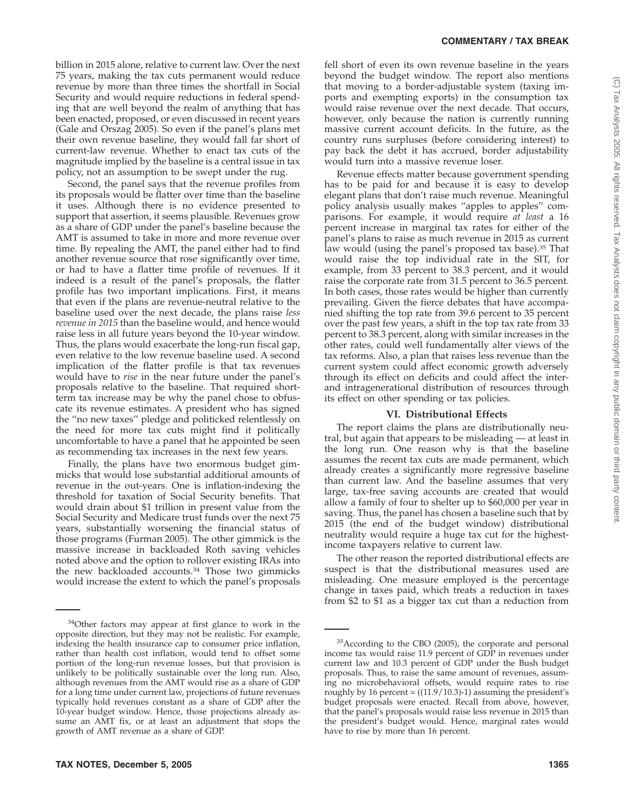billion in 2015 alone, relative to current law. Over the next 75 years, making the tax cuts permanent would reduce revenue by more than three times the shortfall in Social Security and would require reductions in federal spending that are well beyond the realm of anything that has been enacted, proposed, or even discussed in recent years (Gale and Orszag 2005). So even if the panel's plans met their own revenue baseline, they would fall far short of current-law revenue. Whether to enact tax cuts of the magnitude implied by the baseline is a central issue in tax policy, not an assumption to be swept under the rug.

Second, the panel says that the revenue profiles from its proposals would be flatter over time than the baseline it uses. Although there is no evidence presented to support that assertion, it seems plausible. Revenues grow as a share of GDP under the panel's baseline because the AMT is assumed to take in more and more revenue over time. By repealing the AMT, the panel either had to find another revenue source that rose significantly over time, or had to have a flatter time profile of revenues. If it indeed is a result of the panel's proposals, the flatter profile has two important implications. First, it means that even if the plans are revenue-neutral relative to the baseline used over the next decade, the plans raise *less revenue in 2015* than the baseline would, and hence would raise less in all future years beyond the 10-year window. Thus, the plans would exacerbate the long-run fiscal gap, even relative to the low revenue baseline used. A second implication of the flatter profile is that tax revenues would have to *rise* in the near future under the panel's proposals relative to the baseline. That required shortterm tax increase may be why the panel chose to obfuscate its revenue estimates. A president who has signed the ''no new taxes'' pledge and politicked relentlessly on the need for more tax cuts might find it politically uncomfortable to have a panel that he appointed be seen as recommending tax increases in the next few years.

Finally, the plans have two enormous budget gimmicks that would lose substantial additional amounts of revenue in the out-years. One is inflation-indexing the threshold for taxation of Social Security benefits. That would drain about \$1 trillion in present value from the Social Security and Medicare trust funds over the next 75 years, substantially worsening the financial status of those programs (Furman 2005). The other gimmick is the massive increase in backloaded Roth saving vehicles noted above and the option to rollover existing IRAs into the new backloaded accounts.34 Those two gimmicks would increase the extent to which the panel's proposals fell short of even its own revenue baseline in the years beyond the budget window. The report also mentions that moving to a border-adjustable system (taxing imports and exempting exports) in the consumption tax would raise revenue over the next decade. That occurs, however, only because the nation is currently running massive current account deficits. In the future, as the country runs surpluses (before considering interest) to pay back the debt it has accrued, border adjustability would turn into a massive revenue loser.

Revenue effects matter because government spending has to be paid for and because it is easy to develop elegant plans that don't raise much revenue. Meaningful policy analysis usually makes ''apples to apples'' comparisons. For example, it would require *at least* a 16 percent increase in marginal tax rates for either of the panel's plans to raise as much revenue in 2015 as current law would (using the panel's proposed tax base).<sup>35</sup> That would raise the top individual rate in the SIT, for example, from 33 percent to 38.3 percent, and it would raise the corporate rate from 31.5 percent to 36.5 percent. In both cases, those rates would be higher than currently prevailing. Given the fierce debates that have accompanied shifting the top rate from 39.6 percent to 35 percent over the past few years, a shift in the top tax rate from 33 percent to 38.3 percent, along with similar increases in the other rates, could well fundamentally alter views of the tax reforms. Also, a plan that raises less revenue than the current system could affect economic growth adversely through its effect on deficits and could affect the interand intragenerational distribution of resources through its effect on other spending or tax policies.

#### **VI. Distributional Effects**

The report claims the plans are distributionally neutral, but again that appears to be misleading — at least in the long run. One reason why is that the baseline assumes the recent tax cuts are made permanent, which already creates a significantly more regressive baseline than current law. And the baseline assumes that very large, tax-free saving accounts are created that would allow a family of four to shelter up to \$60,000 per year in saving. Thus, the panel has chosen a baseline such that by 2015 (the end of the budget window) distributional neutrality would require a huge tax cut for the highestincome taxpayers relative to current law.

The other reason the reported distributional effects are suspect is that the distributional measures used are misleading. One measure employed is the percentage change in taxes paid, which treats a reduction in taxes from \$2 to \$1 as a bigger tax cut than a reduction from

<sup>&</sup>lt;sup>34</sup>Other factors may appear at first glance to work in the opposite direction, but they may not be realistic. For example, indexing the health insurance cap to consumer price inflation, rather than health cost inflation, would tend to offset some portion of the long-run revenue losses, but that provision is unlikely to be politically sustainable over the long run. Also, although revenues from the AMT would rise as a share of GDP for a long time under current law, projections of future revenues typically hold revenues constant as a share of GDP after the 10-year budget window. Hence, those projections already assume an AMT fix, or at least an adjustment that stops the growth of AMT revenue as a share of GDP.

 $35$ According to the CBO (2005), the corporate and personal income tax would raise 11.9 percent of GDP in revenues under current law and 10.3 percent of GDP under the Bush budget proposals. Thus, to raise the same amount of revenues, assuming no microbehavioral offsets, would require rates to rise roughly by 16 percent =  $((11.9/10.3)-1)$  assuming the president's budget proposals were enacted. Recall from above, however, that the panel's proposals would raise less revenue in 2015 than the president's budget would. Hence, marginal rates would have to rise by more than 16 percent.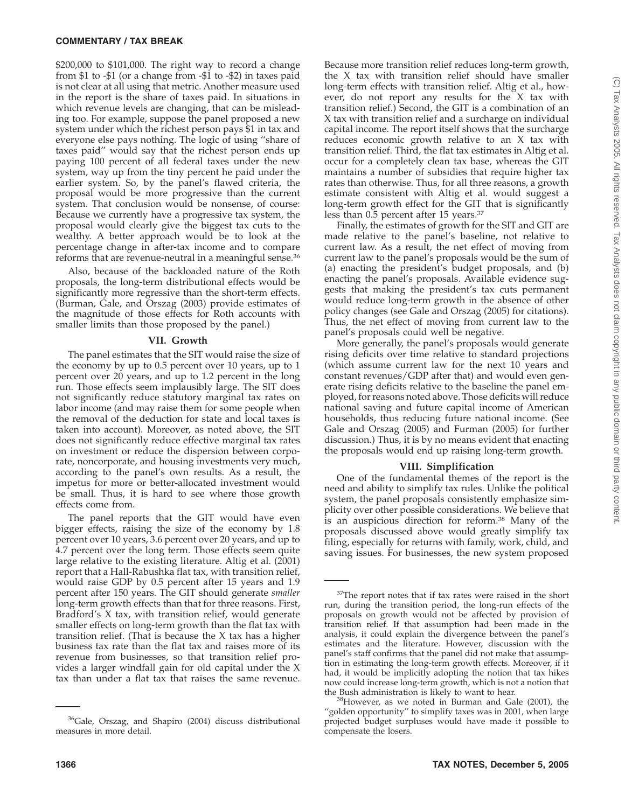#### **COMMENTARY / TAX BREAK**

\$200,000 to \$101,000. The right way to record a change from \$1 to -\$1 (or a change from -\$1 to -\$2) in taxes paid is not clear at all using that metric. Another measure used in the report is the share of taxes paid. In situations in which revenue levels are changing, that can be misleading too. For example, suppose the panel proposed a new system under which the richest person pays \$1 in tax and everyone else pays nothing. The logic of using ''share of taxes paid'' would say that the richest person ends up paying 100 percent of all federal taxes under the new system, way up from the tiny percent he paid under the earlier system. So, by the panel's flawed criteria, the proposal would be more progressive than the current system. That conclusion would be nonsense, of course: Because we currently have a progressive tax system, the proposal would clearly give the biggest tax cuts to the wealthy. A better approach would be to look at the percentage change in after-tax income and to compare reforms that are revenue-neutral in a meaningful sense.36

Also, because of the backloaded nature of the Roth proposals, the long-term distributional effects would be significantly more regressive than the short-term effects. (Burman, Gale, and Orszag (2003) provide estimates of the magnitude of those effects for Roth accounts with smaller limits than those proposed by the panel.)

#### **VII. Growth**

The panel estimates that the SIT would raise the size of the economy by up to 0.5 percent over 10 years, up to 1 percent over 20 years, and up to 1.2 percent in the long run. Those effects seem implausibly large. The SIT does not significantly reduce statutory marginal tax rates on labor income (and may raise them for some people when the removal of the deduction for state and local taxes is taken into account). Moreover, as noted above, the SIT does not significantly reduce effective marginal tax rates on investment or reduce the dispersion between corporate, noncorporate, and housing investments very much, according to the panel's own results. As a result, the impetus for more or better-allocated investment would be small. Thus, it is hard to see where those growth effects come from.

The panel reports that the GIT would have even bigger effects, raising the size of the economy by 1.8 percent over 10 years, 3.6 percent over 20 years, and up to 4.7 percent over the long term. Those effects seem quite large relative to the existing literature. Altig et al. (2001) report that a Hall-Rabushka flat tax, with transition relief, would raise GDP by 0.5 percent after 15 years and 1.9 percent after 150 years. The GIT should generate *smaller* long-term growth effects than that for three reasons. First, Bradford's X tax, with transition relief, would generate smaller effects on long-term growth than the flat tax with transition relief. (That is because the X tax has a higher business tax rate than the flat tax and raises more of its revenue from businesses, so that transition relief provides a larger windfall gain for old capital under the X tax than under a flat tax that raises the same revenue.

Because more transition relief reduces long-term growth, the X tax with transition relief should have smaller long-term effects with transition relief. Altig et al., however, do not report any results for the X tax with transition relief.) Second, the GIT is a combination of an X tax with transition relief and a surcharge on individual capital income. The report itself shows that the surcharge reduces economic growth relative to an X tax with transition relief. Third, the flat tax estimates in Altig et al. occur for a completely clean tax base, whereas the GIT maintains a number of subsidies that require higher tax rates than otherwise. Thus, for all three reasons, a growth estimate consistent with Altig et al. would suggest a long-term growth effect for the GIT that is significantly less than 0.5 percent after 15 years.37

Finally, the estimates of growth for the SIT and GIT are made relative to the panel's baseline, not relative to current law. As a result, the net effect of moving from current law to the panel's proposals would be the sum of (a) enacting the president's budget proposals, and (b) enacting the panel's proposals. Available evidence suggests that making the president's tax cuts permanent would reduce long-term growth in the absence of other policy changes (see Gale and Orszag (2005) for citations). Thus, the net effect of moving from current law to the panel's proposals could well be negative.

More generally, the panel's proposals would generate rising deficits over time relative to standard projections (which assume current law for the next 10 years and constant revenues/GDP after that) and would even generate rising deficits relative to the baseline the panel employed, for reasons noted above. Those deficits will reduce national saving and future capital income of American households, thus reducing future national income. (See Gale and Orszag (2005) and Furman (2005) for further discussion.) Thus, it is by no means evident that enacting the proposals would end up raising long-term growth.

#### **VIII. Simplification**

One of the fundamental themes of the report is the need and ability to simplify tax rules. Unlike the political system, the panel proposals consistently emphasize simplicity over other possible considerations. We believe that is an auspicious direction for reform.38 Many of the proposals discussed above would greatly simplify tax filing, especially for returns with family, work, child, and saving issues. For businesses, the new system proposed

<sup>36</sup>Gale, Orszag, and Shapiro (2004) discuss distributional measures in more detail.

<sup>&</sup>lt;sup>37</sup>The report notes that if tax rates were raised in the short run, during the transition period, the long-run effects of the proposals on growth would not be affected by provision of transition relief. If that assumption had been made in the analysis, it could explain the divergence between the panel's estimates and the literature. However, discussion with the panel's staff confirms that the panel did not make that assumption in estimating the long-term growth effects. Moreover, if it had, it would be implicitly adopting the notion that tax hikes now could increase long-term growth, which is not a notion that the Bush administration is likely to want to hear.

 $38$ However, as we noted in Burman and Gale (2001), the "golden opportunity" to simplify taxes was in 2001, when large projected budget surpluses would have made it possible to compensate the losers.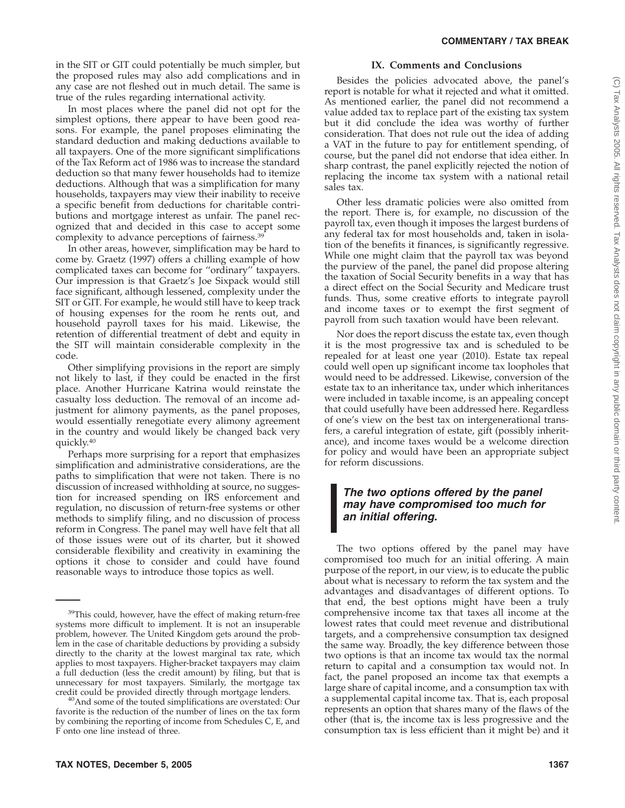in the SIT or GIT could potentially be much simpler, but the proposed rules may also add complications and in any case are not fleshed out in much detail. The same is true of the rules regarding international activity.

In most places where the panel did not opt for the simplest options, there appear to have been good reasons. For example, the panel proposes eliminating the standard deduction and making deductions available to all taxpayers. One of the more significant simplifications of the Tax Reform act of 1986 was to increase the standard deduction so that many fewer households had to itemize deductions. Although that was a simplification for many households, taxpayers may view their inability to receive a specific benefit from deductions for charitable contributions and mortgage interest as unfair. The panel recognized that and decided in this case to accept some complexity to advance perceptions of fairness.39

In other areas, however, simplification may be hard to come by. Graetz (1997) offers a chilling example of how complicated taxes can become for ''ordinary'' taxpayers. Our impression is that Graetz's Joe Sixpack would still face significant, although lessened, complexity under the SIT or GIT. For example, he would still have to keep track of housing expenses for the room he rents out, and household payroll taxes for his maid. Likewise, the retention of differential treatment of debt and equity in the SIT will maintain considerable complexity in the code.

Other simplifying provisions in the report are simply not likely to last, if they could be enacted in the first place. Another Hurricane Katrina would reinstate the casualty loss deduction. The removal of an income adjustment for alimony payments, as the panel proposes, would essentially renegotiate every alimony agreement in the country and would likely be changed back very quickly.40

Perhaps more surprising for a report that emphasizes simplification and administrative considerations, are the paths to simplification that were not taken. There is no discussion of increased withholding at source, no suggestion for increased spending on IRS enforcement and regulation, no discussion of return-free systems or other methods to simplify filing, and no discussion of process reform in Congress. The panel may well have felt that all of those issues were out of its charter, but it showed considerable flexibility and creativity in examining the options it chose to consider and could have found reasonable ways to introduce those topics as well.

# **IX. Comments and Conclusions**

Besides the policies advocated above, the panel's report is notable for what it rejected and what it omitted. As mentioned earlier, the panel did not recommend a value added tax to replace part of the existing tax system but it did conclude the idea was worthy of further consideration. That does not rule out the idea of adding a VAT in the future to pay for entitlement spending, of course, but the panel did not endorse that idea either. In sharp contrast, the panel explicitly rejected the notion of replacing the income tax system with a national retail sales tax.

Other less dramatic policies were also omitted from the report. There is, for example, no discussion of the payroll tax, even though it imposes the largest burdens of any federal tax for most households and, taken in isolation of the benefits it finances, is significantly regressive. While one might claim that the payroll tax was beyond the purview of the panel, the panel did propose altering the taxation of Social Security benefits in a way that has a direct effect on the Social Security and Medicare trust funds. Thus, some creative efforts to integrate payroll and income taxes or to exempt the first segment of payroll from such taxation would have been relevant.

Nor does the report discuss the estate tax, even though it is the most progressive tax and is scheduled to be repealed for at least one year (2010). Estate tax repeal could well open up significant income tax loopholes that would need to be addressed. Likewise, conversion of the estate tax to an inheritance tax, under which inheritances were included in taxable income, is an appealing concept that could usefully have been addressed here. Regardless of one's view on the best tax on intergenerational transfers, a careful integration of estate, gift (possibly inheritance), and income taxes would be a welcome direction for policy and would have been an appropriate subject for reform discussions.

# *The two options offered by the panel may have compromised too much for an initial offering.*

The two options offered by the panel may have compromised too much for an initial offering. A main purpose of the report, in our view, is to educate the public about what is necessary to reform the tax system and the advantages and disadvantages of different options. To that end, the best options might have been a truly comprehensive income tax that taxes all income at the lowest rates that could meet revenue and distributional targets, and a comprehensive consumption tax designed the same way. Broadly, the key difference between those two options is that an income tax would tax the normal return to capital and a consumption tax would not. In fact, the panel proposed an income tax that exempts a large share of capital income, and a consumption tax with a supplemental capital income tax. That is, each proposal represents an option that shares many of the flaws of the other (that is, the income tax is less progressive and the consumption tax is less efficient than it might be) and it

<sup>&</sup>lt;sup>39</sup>This could, however, have the effect of making return-free systems more difficult to implement. It is not an insuperable problem, however. The United Kingdom gets around the problem in the case of charitable deductions by providing a subsidy directly to the charity at the lowest marginal tax rate, which applies to most taxpayers. Higher-bracket taxpayers may claim a full deduction (less the credit amount) by filing, but that is unnecessary for most taxpayers. Similarly, the mortgage tax

<sup>&</sup>lt;sup>40</sup>And some of the touted simplifications are overstated: Our favorite is the reduction of the number of lines on the tax form by combining the reporting of income from Schedules C, E, and F onto one line instead of three.